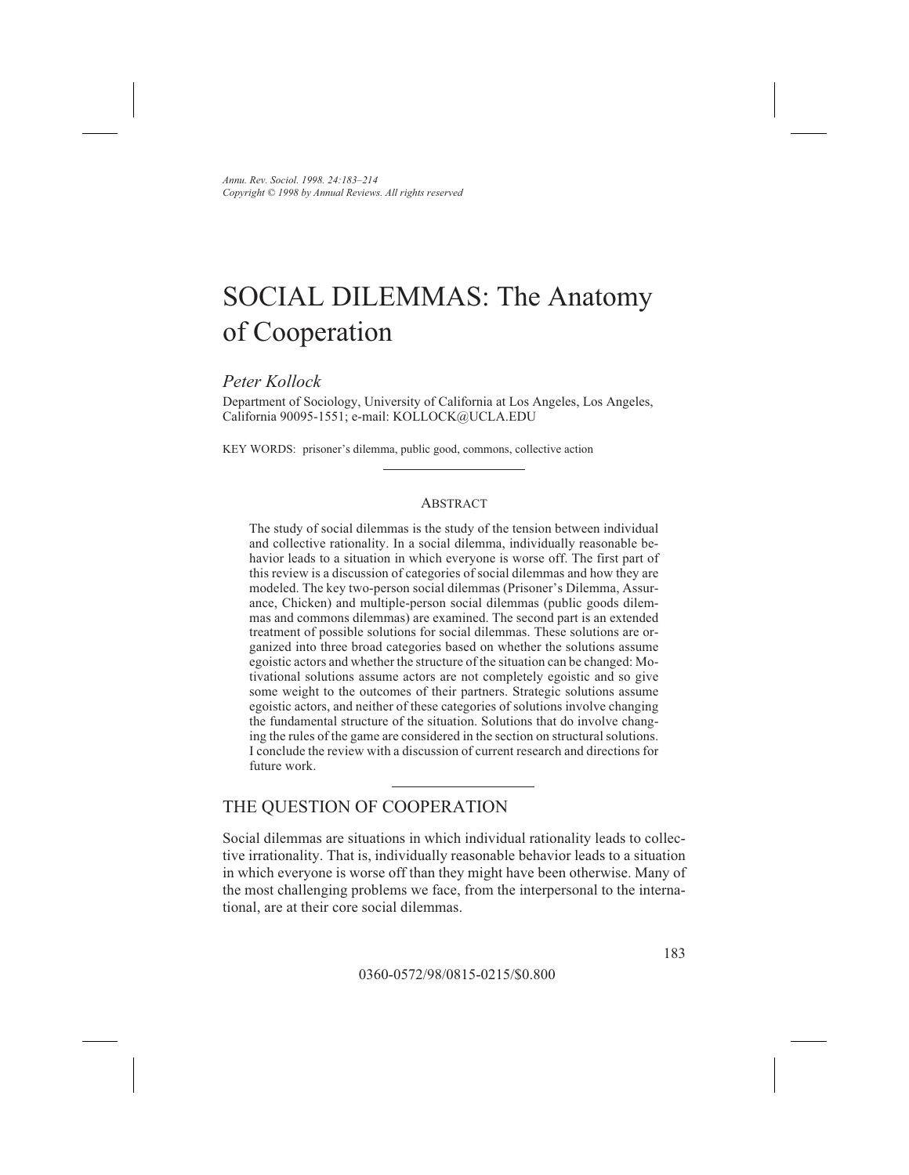# SOCIAL DILEMMAS: The Anatomy of Cooperation

# *Peter Kollock*

Department of Sociology, University of California at Los Angeles, Los Angeles, California 90095-1551; e-mail: KOLLOCK@UCLA.EDU

KEY WORDS: prisoner's dilemma, public good, commons, collective action

#### **ABSTRACT**

The study of social dilemmas is the study of the tension between individual and collective rationality. In a social dilemma, individually reasonable behavior leads to a situation in which everyone is worse off. The first part of this review is a discussion of categories of social dilemmas and how they are modeled. The key two-person social dilemmas (Prisoner's Dilemma, Assurance, Chicken) and multiple-person social dilemmas (public goods dilemmas and commons dilemmas) are examined. The second part is an extended treatment of possible solutions for social dilemmas. These solutions are organized into three broad categories based on whether the solutions assume egoistic actors and whether the structure of the situation can be changed: Motivational solutions assume actors are not completely egoistic and so give some weight to the outcomes of their partners. Strategic solutions assume egoistic actors, and neither of these categories of solutions involve changing the fundamental structure of the situation. Solutions that do involve changing the rules of the game are considered in the section on structural solutions. I conclude the review with a discussion of current research and directions for future work.

# THE QUESTION OF COOPERATION

Social dilemmas are situations in which individual rationality leads to collective irrationality. That is, individually reasonable behavior leads to a situation in which everyone is worse off than they might have been otherwise. Many of the most challenging problems we face, from the interpersonal to the international, are at their core social dilemmas.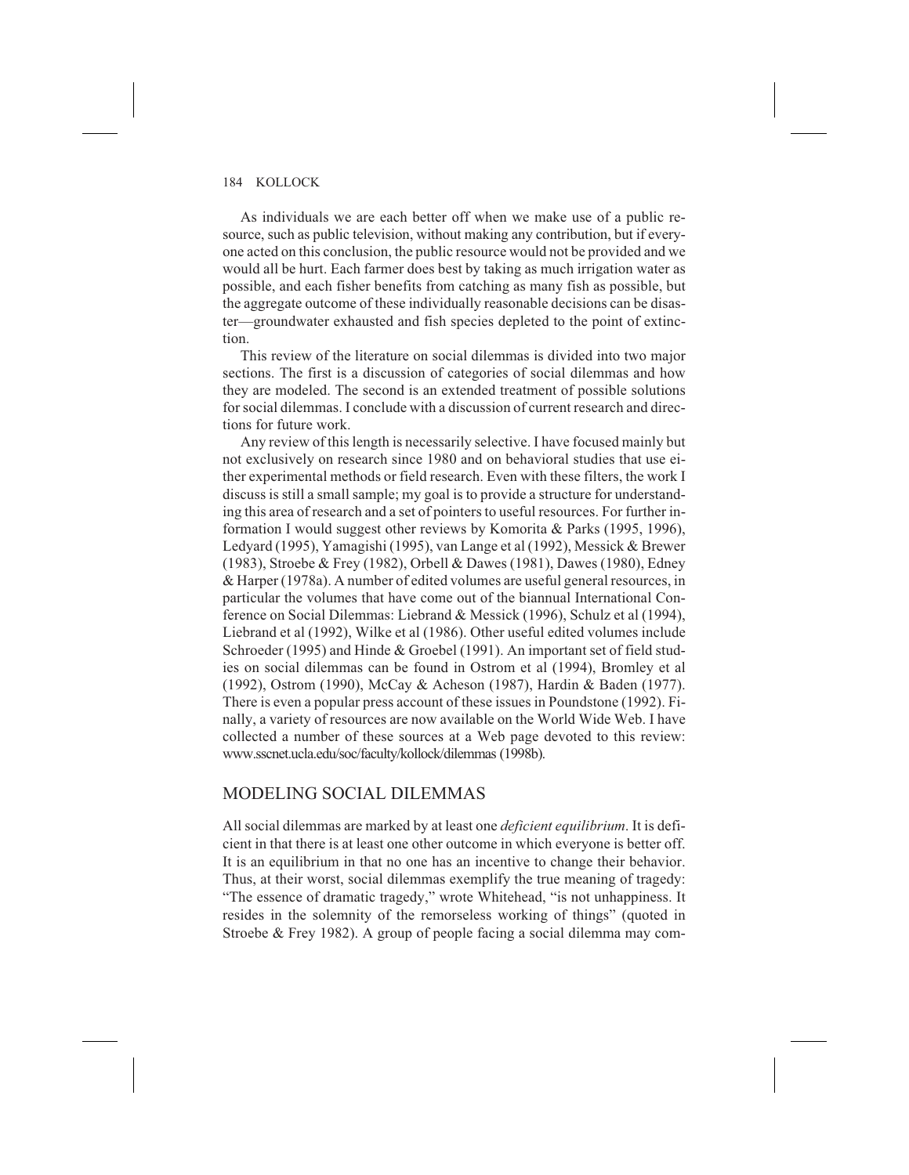As individuals we are each better off when we make use of a public resource, such as public television, without making any contribution, but if everyone acted on this conclusion, the public resource would not be provided and we would all be hurt. Each farmer does best by taking as much irrigation water as possible, and each fisher benefits from catching as many fish as possible, but the aggregate outcome of these individually reasonable decisions can be disaster—groundwater exhausted and fish species depleted to the point of extinction.

This review of the literature on social dilemmas is divided into two major sections. The first is a discussion of categories of social dilemmas and how they are modeled. The second is an extended treatment of possible solutions for social dilemmas. I conclude with a discussion of current research and directions for future work.

Any review of this length is necessarily selective. I have focused mainly but not exclusively on research since 1980 and on behavioral studies that use either experimental methods or field research. Even with these filters, the work I discuss is still a small sample; my goal is to provide a structure for understanding this area of research and a set of pointers to useful resources. For further information I would suggest other reviews by Komorita & Parks (1995, 1996), Ledyard (1995), Yamagishi (1995), van Lange et al (1992), Messick & Brewer (1983), Stroebe & Frey (1982), Orbell & Dawes (1981), Dawes (1980), Edney & Harper (1978a). A number of edited volumes are useful general resources, in particular the volumes that have come out of the biannual International Conference on Social Dilemmas: Liebrand & Messick (1996), Schulz et al (1994), Liebrand et al (1992), Wilke et al (1986). Other useful edited volumes include Schroeder (1995) and Hinde & Groebel (1991). An important set of field studies on social dilemmas can be found in Ostrom et al (1994), Bromley et al (1992), Ostrom (1990), McCay & Acheson (1987), Hardin & Baden (1977). There is even a popular press account of these issues in Poundstone (1992). Finally, a variety of resources are now available on the World Wide Web. I have collected a number of these sources at a Web page devoted to this review: www.sscnet.ucla.edu/soc/faculty/kollock/dilemmas (1998b).

# MODELING SOCIAL DILEMMAS

All social dilemmas are marked by at least one *deficient equilibrium*. It is deficient in that there is at least one other outcome in which everyone is better off. It is an equilibrium in that no one has an incentive to change their behavior. Thus, at their worst, social dilemmas exemplify the true meaning of tragedy: "The essence of dramatic tragedy," wrote Whitehead, "is not unhappiness. It resides in the solemnity of the remorseless working of things" (quoted in Stroebe & Frey 1982). A group of people facing a social dilemma may com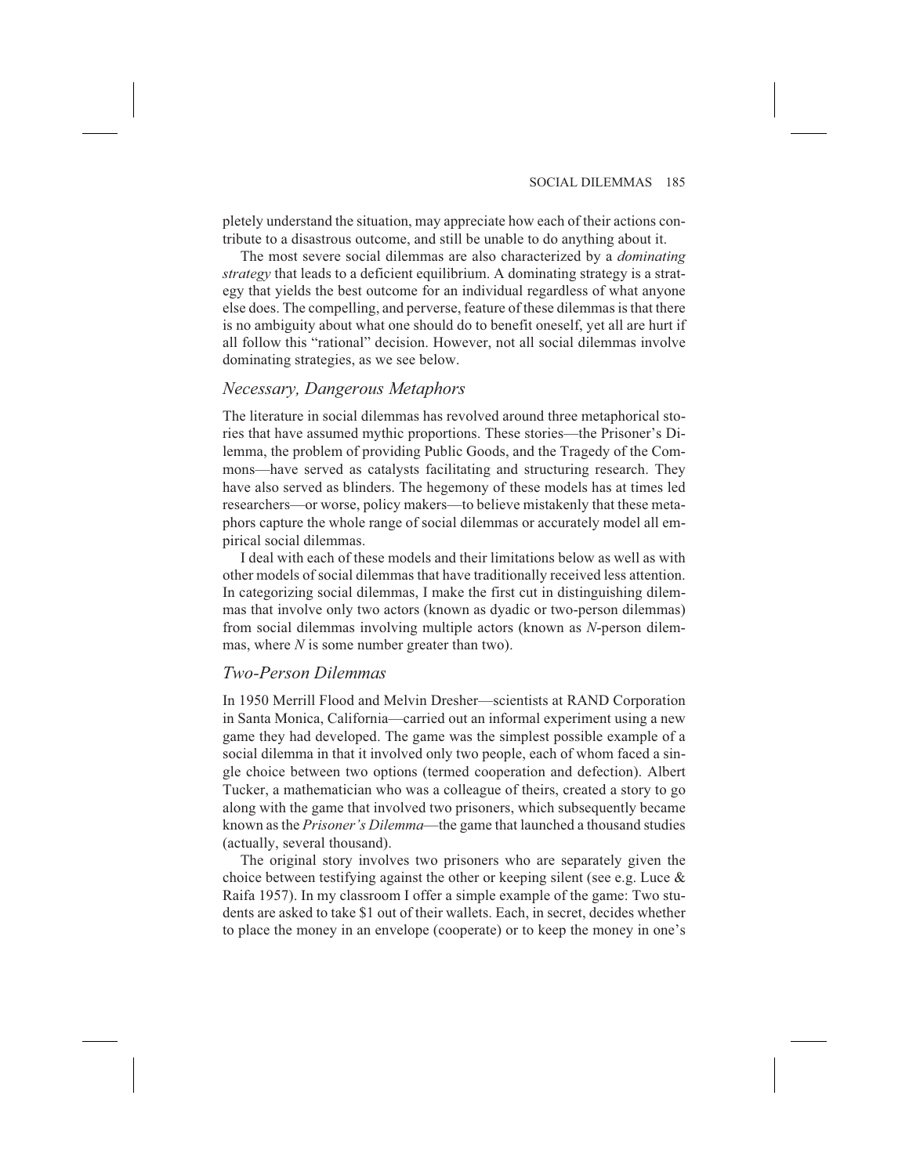pletely understand the situation, may appreciate how each of their actions contribute to a disastrous outcome, and still be unable to do anything about it.

The most severe social dilemmas are also characterized by a *dominating strategy* that leads to a deficient equilibrium. A dominating strategy is a strategy that yields the best outcome for an individual regardless of what anyone else does. The compelling, and perverse, feature of these dilemmas is that there is no ambiguity about what one should do to benefit oneself, yet all are hurt if all follow this "rational" decision. However, not all social dilemmas involve dominating strategies, as we see below.

### *Necessary, Dangerous Metaphors*

The literature in social dilemmas has revolved around three metaphorical stories that have assumed mythic proportions. These stories—the Prisoner's Dilemma, the problem of providing Public Goods, and the Tragedy of the Commons—have served as catalysts facilitating and structuring research. They have also served as blinders. The hegemony of these models has at times led researchers—or worse, policy makers—to believe mistakenly that these metaphors capture the whole range of social dilemmas or accurately model all empirical social dilemmas.

I deal with each of these models and their limitations below as well as with other models of social dilemmas that have traditionally received less attention. In categorizing social dilemmas, I make the first cut in distinguishing dilemmas that involve only two actors (known as dyadic or two-person dilemmas) from social dilemmas involving multiple actors (known as *N*-person dilemmas, where *N* is some number greater than two).

### *Two-Person Dilemmas*

In 1950 Merrill Flood and Melvin Dresher—scientists at RAND Corporation in Santa Monica, California—carried out an informal experiment using a new game they had developed. The game was the simplest possible example of a social dilemma in that it involved only two people, each of whom faced a single choice between two options (termed cooperation and defection). Albert Tucker, a mathematician who was a colleague of theirs, created a story to go along with the game that involved two prisoners, which subsequently became known as the *Prisoner's Dilemma*—the game that launched a thousand studies (actually, several thousand).

The original story involves two prisoners who are separately given the choice between testifying against the other or keeping silent (see e.g. Luce & Raifa 1957). In my classroom I offer a simple example of the game: Two students are asked to take \$1 out of their wallets. Each, in secret, decides whether to place the money in an envelope (cooperate) or to keep the money in one's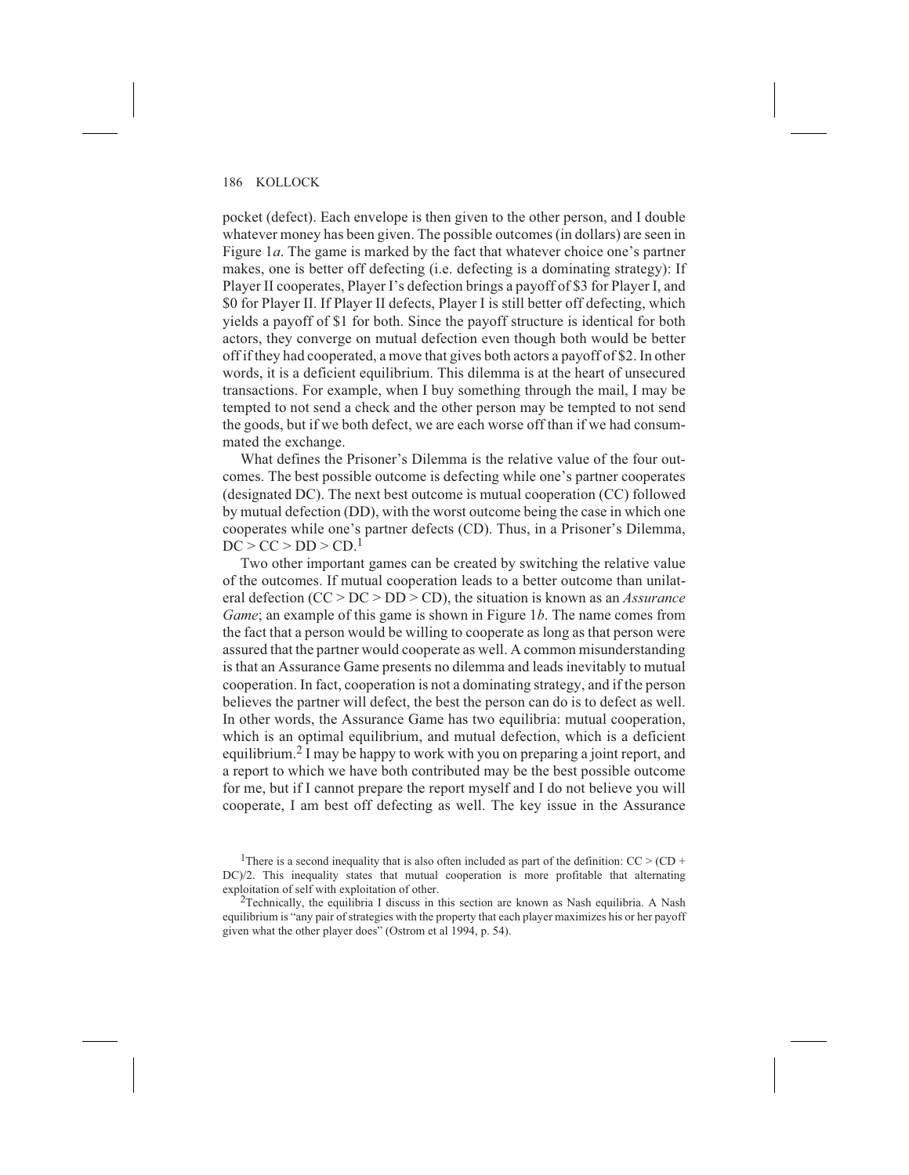pocket (defect). Each envelope is then given to the other person, and I double whatever money has been given. The possible outcomes (in dollars) are seen in Figure 1*a*. The game is marked by the fact that whatever choice one's partner makes, one is better off defecting (i.e. defecting is a dominating strategy): If Player II cooperates, Player I's defection brings a payoff of \$3 for Player I, and \$0 for Player II. If Player II defects, Player I is still better off defecting, which yields a payoff of \$1 for both. Since the payoff structure is identical for both actors, they converge on mutual defection even though both would be better off if they had cooperated, a move that gives both actors a payoff of \$2. In other words, it is a deficient equilibrium. This dilemma is at the heart of unsecured transactions. For example, when I buy something through the mail, I may be tempted to not send a check and the other person may be tempted to not send the goods, but if we both defect, we are each worse off than if we had consummated the exchange.

What defines the Prisoner's Dilemma is the relative value of the four outcomes. The best possible outcome is defecting while one's partner cooperates (designated DC). The next best outcome is mutual cooperation (CC) followed by mutual defection (DD), with the worst outcome being the case in which one cooperates while one's partner defects (CD). Thus, in a Prisoner's Dilemma,  $DC > CC > DD > CD$ <sup>1</sup>

Two other important games can be created by switching the relative value of the outcomes. If mutual cooperation leads to a better outcome than unilateral defection (CC > DC > DD > CD), the situation is known as an *Assurance Game*; an example of this game is shown in Figure 1*b*. The name comes from the fact that a person would be willing to cooperate as long as that person were assured that the partner would cooperate as well. A common misunderstanding is that an Assurance Game presents no dilemma and leads inevitably to mutual cooperation. In fact, cooperation is not a dominating strategy, and if the person believes the partner will defect, the best the person can do is to defect as well. In other words, the Assurance Game has two equilibria: mutual cooperation, which is an optimal equilibrium, and mutual defection, which is a deficient equilibrium.<sup>2</sup> I may be happy to work with you on preparing a joint report, and a report to which we have both contributed may be the best possible outcome for me, but if I cannot prepare the report myself and I do not believe you will cooperate, I am best off defecting as well. The key issue in the Assurance

<sup>&</sup>lt;sup>1</sup>There is a second inequality that is also often included as part of the definition:  $CC$  > (CD + DC)/2. This inequality states that mutual cooperation is more profitable that alternating exploitation of self with exploitation of other.

 $2$ Technically, the equilibria I discuss in this section are known as Nash equilibria. A Nash equilibrium is "any pair of strategies with the property that each player maximizes his or her payoff given what the other player does" (Ostrom et al 1994, p. 54).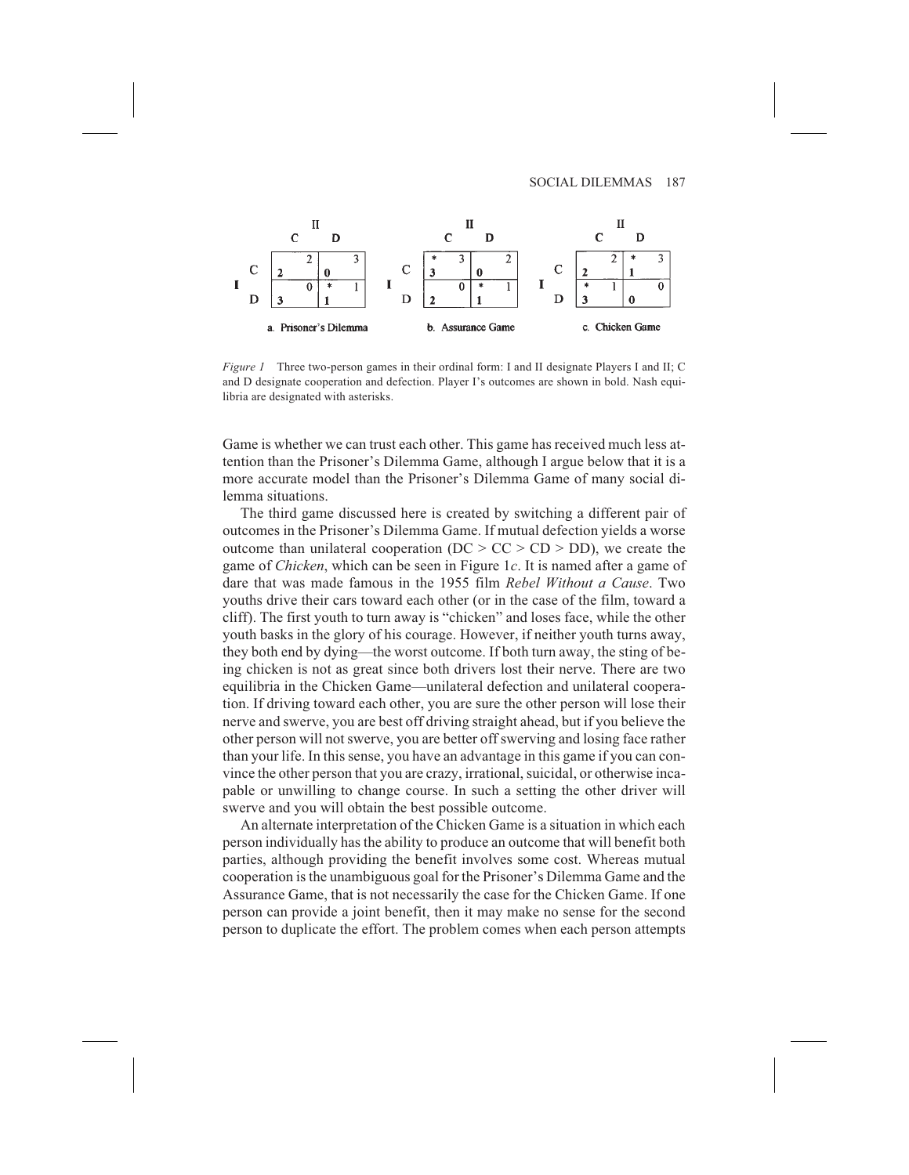

*Figure 1* Three two-person games in their ordinal form: I and II designate Players I and II; C and D designate cooperation and defection. Player I's outcomes are shown in bold. Nash equilibria are designated with asterisks.

Game is whether we can trust each other. This game has received much less attention than the Prisoner's Dilemma Game, although I argue below that it is a more accurate model than the Prisoner's Dilemma Game of many social dilemma situations.

The third game discussed here is created by switching a different pair of outcomes in the Prisoner's Dilemma Game. If mutual defection yields a worse outcome than unilateral cooperation ( $DC > CC > CD > DD$ ), we create the game of *Chicken*, which can be seen in Figure 1*c*. It is named after a game of dare that was made famous in the 1955 film *Rebel Without a Cause*. Two youths drive their cars toward each other (or in the case of the film, toward a cliff). The first youth to turn away is "chicken" and loses face, while the other youth basks in the glory of his courage. However, if neither youth turns away, they both end by dying—the worst outcome. If both turn away, the sting of being chicken is not as great since both drivers lost their nerve. There are two equilibria in the Chicken Game—unilateral defection and unilateral cooperation. If driving toward each other, you are sure the other person will lose their nerve and swerve, you are best off driving straight ahead, but if you believe the other person will not swerve, you are better off swerving and losing face rather than your life. In this sense, you have an advantage in this game if you can convince the other person that you are crazy, irrational, suicidal, or otherwise incapable or unwilling to change course. In such a setting the other driver will swerve and you will obtain the best possible outcome.

An alternate interpretation of the Chicken Game is a situation in which each person individually has the ability to produce an outcome that will benefit both parties, although providing the benefit involves some cost. Whereas mutual cooperation is the unambiguous goal for the Prisoner's Dilemma Game and the Assurance Game, that is not necessarily the case for the Chicken Game. If one person can provide a joint benefit, then it may make no sense for the second person to duplicate the effort. The problem comes when each person attempts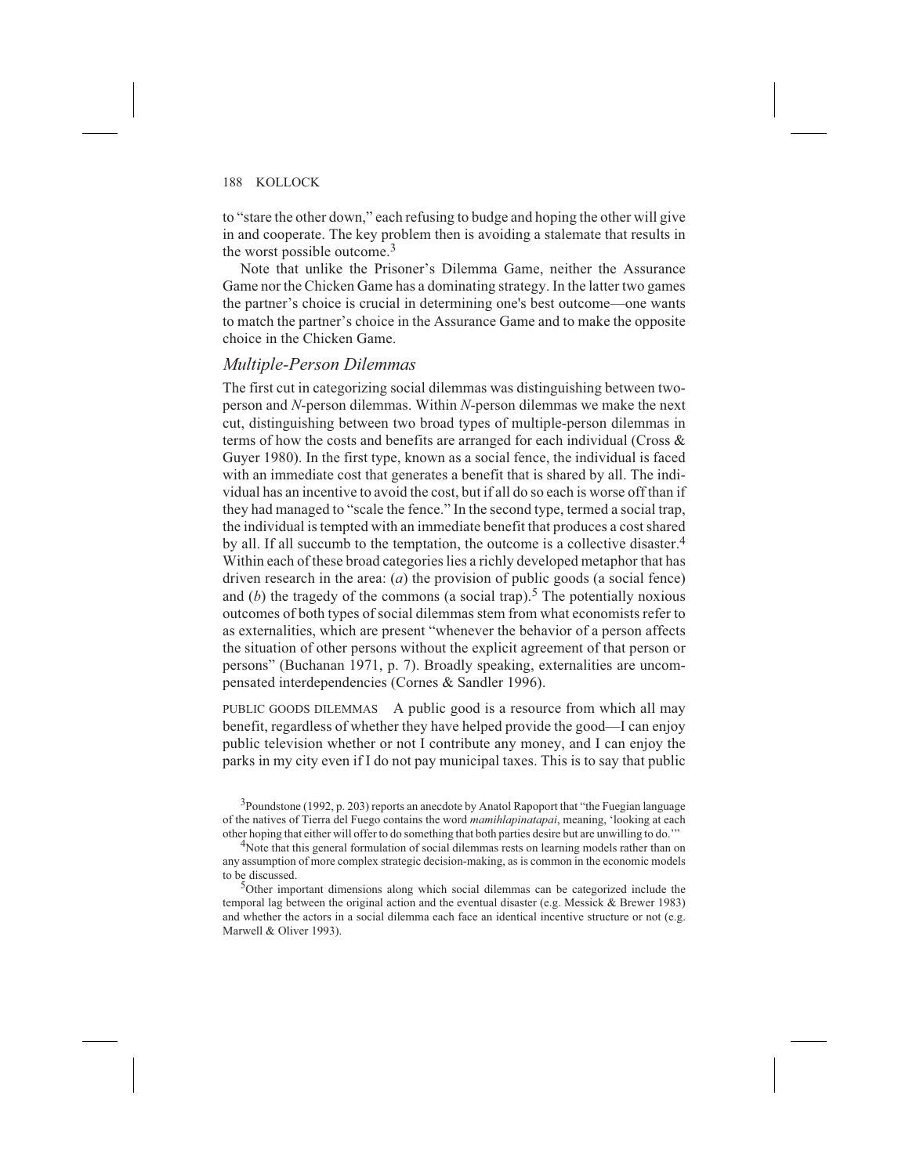to "stare the other down," each refusing to budge and hoping the other will give in and cooperate. The key problem then is avoiding a stalemate that results in the worst possible outcome.<sup>3</sup>

Note that unlike the Prisoner's Dilemma Game, neither the Assurance Game nor the Chicken Game has a dominating strategy. In the latter two games the partner's choice is crucial in determining one's best outcome—one wants to match the partner's choice in the Assurance Game and to make the opposite choice in the Chicken Game.

## *Multiple-Person Dilemmas*

The first cut in categorizing social dilemmas was distinguishing between twoperson and *N*-person dilemmas. Within *N*-person dilemmas we make the next cut, distinguishing between two broad types of multiple-person dilemmas in terms of how the costs and benefits are arranged for each individual (Cross & Guyer 1980). In the first type, known as a social fence, the individual is faced with an immediate cost that generates a benefit that is shared by all. The individual has an incentive to avoid the cost, but if all do so each is worse off than if they had managed to "scale the fence." In the second type, termed a social trap, the individual is tempted with an immediate benefit that produces a cost shared by all. If all succumb to the temptation, the outcome is a collective disaster.<sup>4</sup> Within each of these broad categories lies a richly developed metaphor that has driven research in the area: (*a*) the provision of public goods (a social fence) and  $(b)$  the tragedy of the commons (a social trap).<sup>5</sup> The potentially noxious outcomes of both types of social dilemmas stem from what economists refer to as externalities, which are present "whenever the behavior of a person affects the situation of other persons without the explicit agreement of that person or persons" (Buchanan 1971, p. 7). Broadly speaking, externalities are uncompensated interdependencies (Cornes & Sandler 1996).

PUBLIC GOODS DILEMMAS A public good is a resource from which all may benefit, regardless of whether they have helped provide the good—I can enjoy public television whether or not I contribute any money, and I can enjoy the parks in my city even if I do not pay municipal taxes. This is to say that public

 $3$  Poundstone (1992, p. 203) reports an anecdote by Anatol Rapoport that "the Fuegian language of the natives of Tierra del Fuego contains the word *mamihlapinatapai*, meaning, 'looking at each other hoping that either will offer to do something that both parties desire but are unwilling to do.'"

 $4$ Note that this general formulation of social dilemmas rests on learning models rather than on any assumption of more complex strategic decision-making, as is common in the economic models to be discussed.

5 5Other important dimensions along which social dilemmas can be categorized include the temporal lag between the original action and the eventual disaster (e.g. Messick & Brewer 1983) and whether the actors in a social dilemma each face an identical incentive structure or not (e.g. Marwell & Oliver 1993).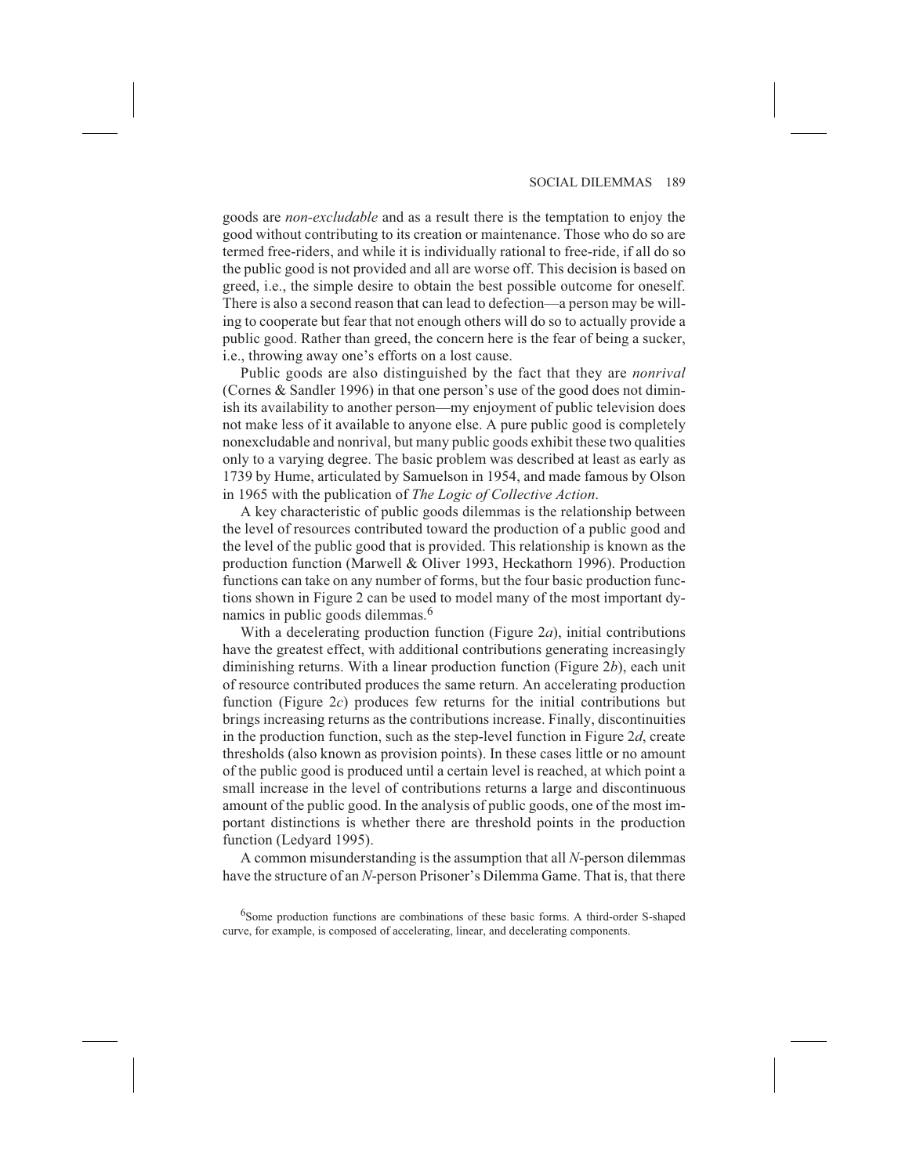goods are *non-excludable* and as a result there is the temptation to enjoy the good without contributing to its creation or maintenance. Those who do so are termed free-riders, and while it is individually rational to free-ride, if all do so the public good is not provided and all are worse off. This decision is based on greed, i.e., the simple desire to obtain the best possible outcome for oneself. There is also a second reason that can lead to defection—a person may be willing to cooperate but fear that not enough others will do so to actually provide a public good. Rather than greed, the concern here is the fear of being a sucker, i.e., throwing away one's efforts on a lost cause.

Public goods are also distinguished by the fact that they are *nonrival* (Cornes & Sandler 1996) in that one person's use of the good does not diminish its availability to another person—my enjoyment of public television does not make less of it available to anyone else. A pure public good is completely nonexcludable and nonrival, but many public goods exhibit these two qualities only to a varying degree. The basic problem was described at least as early as 1739 by Hume, articulated by Samuelson in 1954, and made famous by Olson in 1965 with the publication of *The Logic of Collective Action*.

A key characteristic of public goods dilemmas is the relationship between the level of resources contributed toward the production of a public good and the level of the public good that is provided. This relationship is known as the production function (Marwell & Oliver 1993, Heckathorn 1996). Production functions can take on any number of forms, but the four basic production functions shown in Figure 2 can be used to model many of the most important dynamics in public goods dilemmas.<sup>6</sup>

With a decelerating production function (Figure 2*a*), initial contributions have the greatest effect, with additional contributions generating increasingly diminishing returns. With a linear production function (Figure 2*b*), each unit of resource contributed produces the same return. An accelerating production function (Figure 2*c*) produces few returns for the initial contributions but brings increasing returns as the contributions increase. Finally, discontinuities in the production function, such as the step-level function in Figure 2*d*, create thresholds (also known as provision points). In these cases little or no amount of the public good is produced until a certain level is reached, at which point a small increase in the level of contributions returns a large and discontinuous amount of the public good. In the analysis of public goods, one of the most important distinctions is whether there are threshold points in the production function (Ledyard 1995).

A common misunderstanding is the assumption that all *N*-person dilemmas have the structure of an *N*-person Prisoner's Dilemma Game. That is, that there

<sup>&</sup>lt;sup>6</sup>Some production functions are combinations of these basic forms. A third-order S-shaped curve, for example, is composed of accelerating, linear, and decelerating components.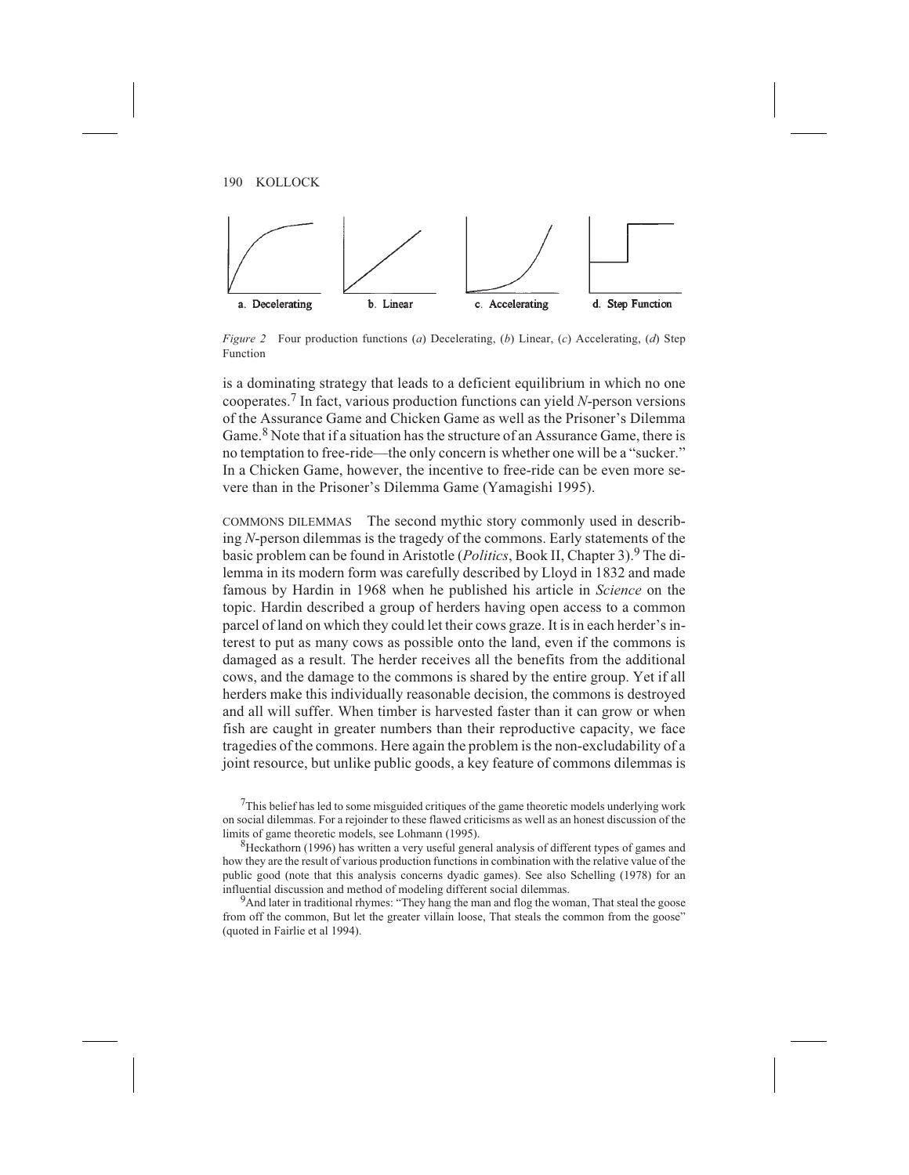

*Figure 2* Four production functions (*a*) Decelerating, (*b*) Linear, (*c*) Accelerating, (*d*) Step Function

is a dominating strategy that leads to a deficient equilibrium in which no one cooperates.<sup>7</sup> In fact, various production functions can yield *N*-person versions of the Assurance Game and Chicken Game as well as the Prisoner's Dilemma Game.<sup>8</sup> Note that if a situation has the structure of an Assurance Game, there is no temptation to free-ride—the only concern is whether one will be a "sucker." In a Chicken Game, however, the incentive to free-ride can be even more severe than in the Prisoner's Dilemma Game (Yamagishi 1995).

COMMONS DILEMMAS The second mythic story commonly used in describing *N*-person dilemmas is the tragedy of the commons. Early statements of the basic problem can be found in Aristotle (*Politics*, Book II, Chapter 3).<sup>9</sup> The dilemma in its modern form was carefully described by Lloyd in 1832 and made famous by Hardin in 1968 when he published his article in *Science* on the topic. Hardin described a group of herders having open access to a common parcel of land on which they could let their cows graze. It is in each herder's interest to put as many cows as possible onto the land, even if the commons is damaged as a result. The herder receives all the benefits from the additional cows, and the damage to the commons is shared by the entire group. Yet if all herders make this individually reasonable decision, the commons is destroyed and all will suffer. When timber is harvested faster than it can grow or when fish are caught in greater numbers than their reproductive capacity, we face tragedies of the commons. Here again the problem is the non-excludability of a joint resource, but unlike public goods, a key feature of commons dilemmas is

 $7$ This belief has led to some misguided critiques of the game theoretic models underlying work on social dilemmas. For a rejoinder to these flawed criticisms as well as an honest discussion of the limits of game theoretic models, see Lohmann (1995).

<sup>8</sup>Heckathorn (1996) has written a very useful general analysis of different types of games and how they are the result of various production functions in combination with the relative value of the public good (note that this analysis concerns dyadic games). See also Schelling (1978) for an influential discussion and method of modeling different social dilemmas.

<sup>9</sup>And later in traditional rhymes: "They hang the man and flog the woman, That steal the goose from off the common, But let the greater villain loose, That steals the common from the goose" (quoted in Fairlie et al 1994).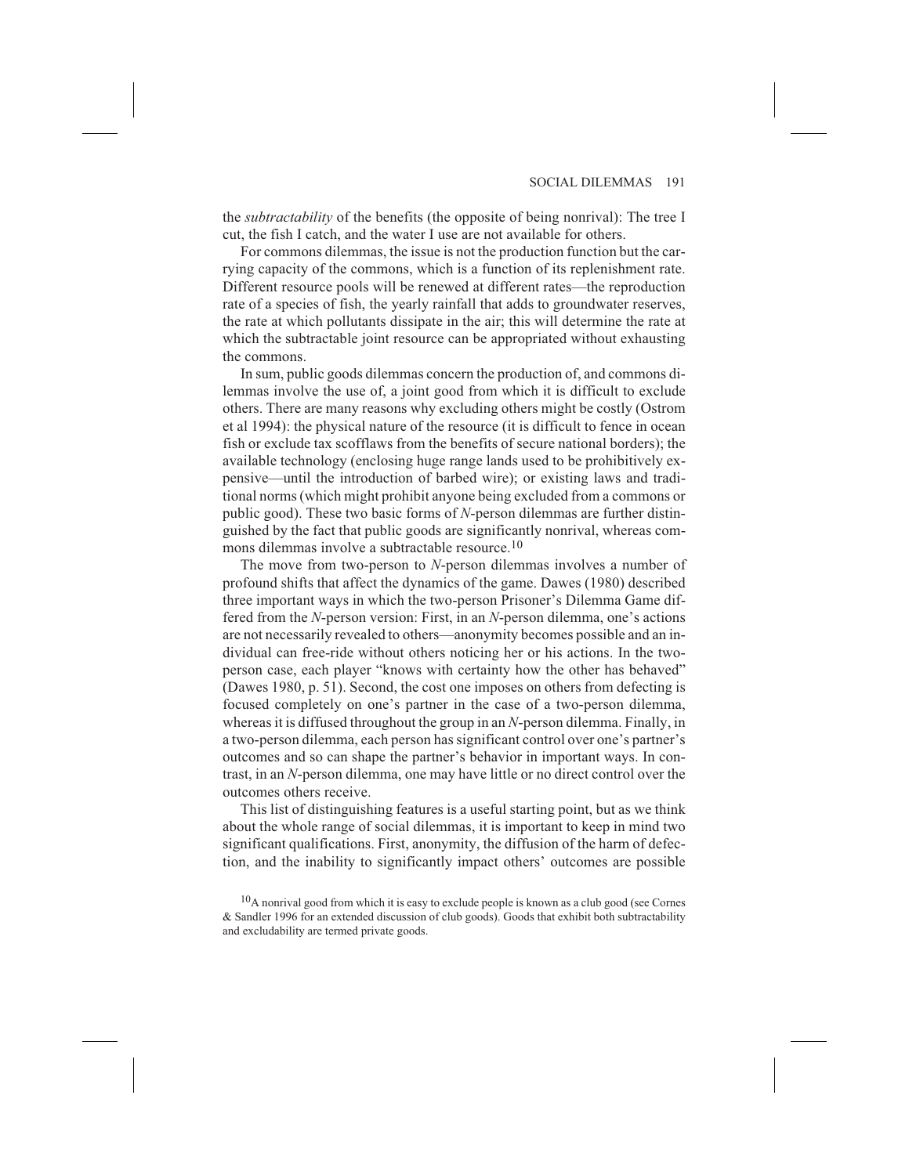the *subtractability* of the benefits (the opposite of being nonrival): The tree I cut, the fish I catch, and the water I use are not available for others.

For commons dilemmas, the issue is not the production function but the carrying capacity of the commons, which is a function of its replenishment rate. Different resource pools will be renewed at different rates—the reproduction rate of a species of fish, the yearly rainfall that adds to groundwater reserves, the rate at which pollutants dissipate in the air; this will determine the rate at which the subtractable joint resource can be appropriated without exhausting the commons.

In sum, public goods dilemmas concern the production of, and commons dilemmas involve the use of, a joint good from which it is difficult to exclude others. There are many reasons why excluding others might be costly (Ostrom et al 1994): the physical nature of the resource (it is difficult to fence in ocean fish or exclude tax scofflaws from the benefits of secure national borders); the available technology (enclosing huge range lands used to be prohibitively expensive—until the introduction of barbed wire); or existing laws and traditional norms (which might prohibit anyone being excluded from a commons or public good). These two basic forms of *N*-person dilemmas are further distinguished by the fact that public goods are significantly nonrival, whereas commons dilemmas involve a subtractable resource.<sup>10</sup>

The move from two-person to *N*-person dilemmas involves a number of profound shifts that affect the dynamics of the game. Dawes (1980) described three important ways in which the two-person Prisoner's Dilemma Game differed from the *N*-person version: First, in an *N*-person dilemma, one's actions are not necessarily revealed to others—anonymity becomes possible and an individual can free-ride without others noticing her or his actions. In the twoperson case, each player "knows with certainty how the other has behaved" (Dawes 1980, p. 51). Second, the cost one imposes on others from defecting is focused completely on one's partner in the case of a two-person dilemma, whereas it is diffused throughout the group in an *N*-person dilemma. Finally, in a two-person dilemma, each person has significant control over one's partner's outcomes and so can shape the partner's behavior in important ways. In contrast, in an *N*-person dilemma, one may have little or no direct control over the outcomes others receive.

This list of distinguishing features is a useful starting point, but as we think about the whole range of social dilemmas, it is important to keep in mind two significant qualifications. First, anonymity, the diffusion of the harm of defection, and the inability to significantly impact others' outcomes are possible

 $10$ A nonrival good from which it is easy to exclude people is known as a club good (see Cornes & Sandler 1996 for an extended discussion of club goods). Goods that exhibit both subtractability and excludability are termed private goods.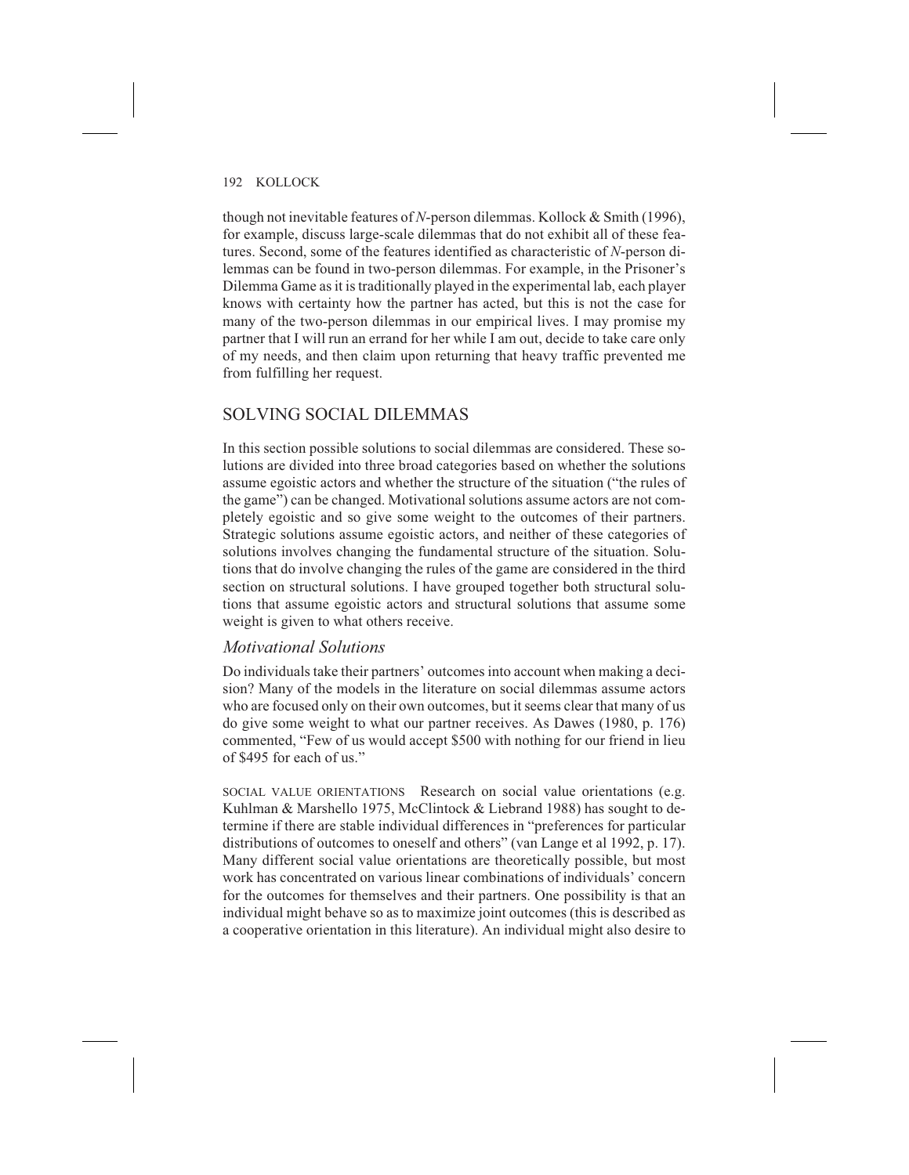though not inevitable features of *N*-person dilemmas. Kollock & Smith (1996), for example, discuss large-scale dilemmas that do not exhibit all of these features. Second, some of the features identified as characteristic of *N*-person dilemmas can be found in two-person dilemmas. For example, in the Prisoner's Dilemma Game as it is traditionally played in the experimental lab, each player knows with certainty how the partner has acted, but this is not the case for many of the two-person dilemmas in our empirical lives. I may promise my partner that I will run an errand for her while I am out, decide to take care only of my needs, and then claim upon returning that heavy traffic prevented me from fulfilling her request.

# SOLVING SOCIAL DILEMMAS

In this section possible solutions to social dilemmas are considered. These solutions are divided into three broad categories based on whether the solutions assume egoistic actors and whether the structure of the situation ("the rules of the game") can be changed. Motivational solutions assume actors are not completely egoistic and so give some weight to the outcomes of their partners. Strategic solutions assume egoistic actors, and neither of these categories of solutions involves changing the fundamental structure of the situation. Solutions that do involve changing the rules of the game are considered in the third section on structural solutions. I have grouped together both structural solutions that assume egoistic actors and structural solutions that assume some weight is given to what others receive.

# *Motivational Solutions*

Do individuals take their partners' outcomes into account when making a decision? Many of the models in the literature on social dilemmas assume actors who are focused only on their own outcomes, but it seems clear that many of us do give some weight to what our partner receives. As Dawes (1980, p. 176) commented, "Few of us would accept \$500 with nothing for our friend in lieu of \$495 for each of us."

SOCIAL VALUE ORIENTATIONS Research on social value orientations (e.g. Kuhlman & Marshello 1975, McClintock & Liebrand 1988) has sought to determine if there are stable individual differences in "preferences for particular distributions of outcomes to oneself and others" (van Lange et al 1992, p. 17). Many different social value orientations are theoretically possible, but most work has concentrated on various linear combinations of individuals' concern for the outcomes for themselves and their partners. One possibility is that an individual might behave so as to maximize joint outcomes (this is described as a cooperative orientation in this literature). An individual might also desire to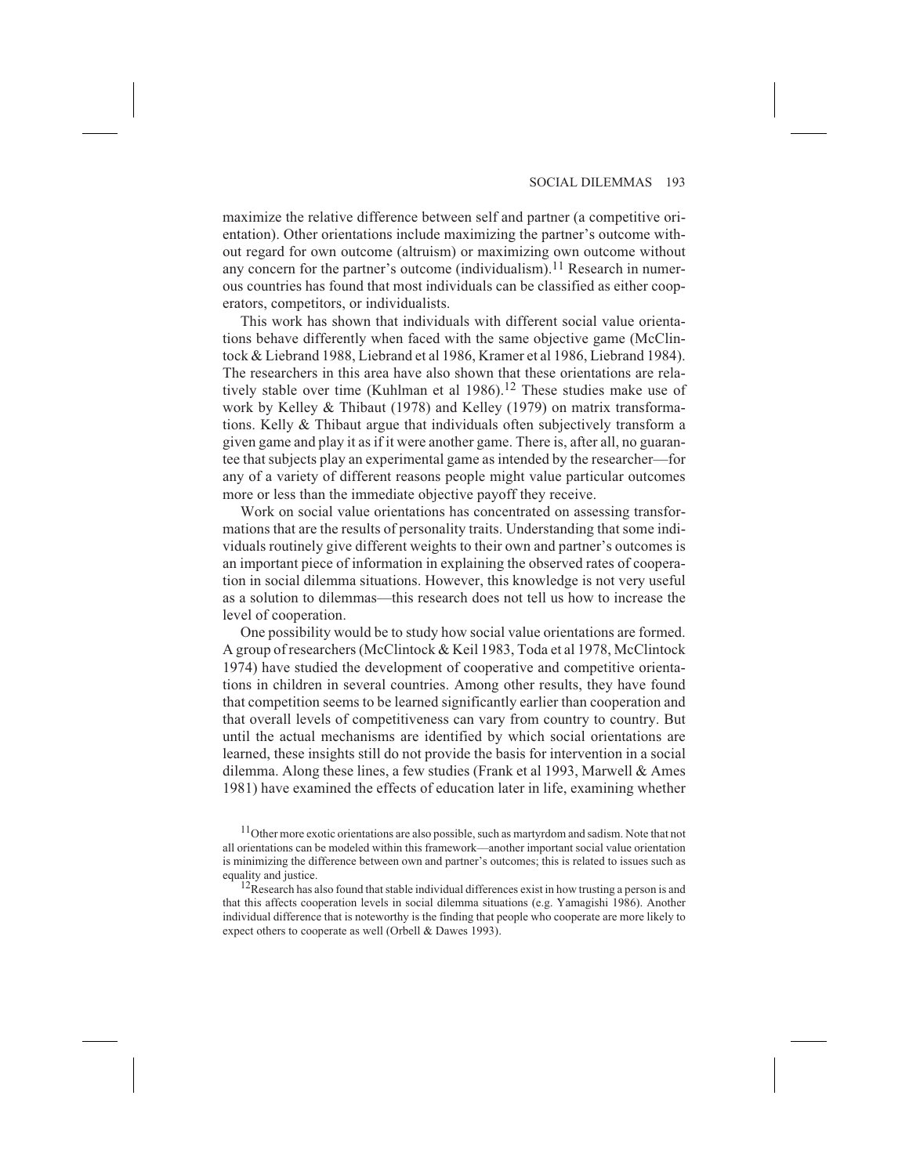maximize the relative difference between self and partner (a competitive orientation). Other orientations include maximizing the partner's outcome without regard for own outcome (altruism) or maximizing own outcome without any concern for the partner's outcome (individualism).<sup>11</sup> Research in numerous countries has found that most individuals can be classified as either cooperators, competitors, or individualists.

This work has shown that individuals with different social value orientations behave differently when faced with the same objective game (McClintock & Liebrand 1988, Liebrand et al 1986, Kramer et al 1986, Liebrand 1984). The researchers in this area have also shown that these orientations are relatively stable over time (Kuhlman et al 1986).<sup>12</sup> These studies make use of work by Kelley & Thibaut (1978) and Kelley (1979) on matrix transformations. Kelly & Thibaut argue that individuals often subjectively transform a given game and play it as if it were another game. There is, after all, no guarantee that subjects play an experimental game as intended by the researcher—for any of a variety of different reasons people might value particular outcomes more or less than the immediate objective payoff they receive.

Work on social value orientations has concentrated on assessing transformations that are the results of personality traits. Understanding that some individuals routinely give different weights to their own and partner's outcomes is an important piece of information in explaining the observed rates of cooperation in social dilemma situations. However, this knowledge is not very useful as a solution to dilemmas—this research does not tell us how to increase the level of cooperation.

One possibility would be to study how social value orientations are formed. A group of researchers (McClintock & Keil 1983, Toda et al 1978, McClintock 1974) have studied the development of cooperative and competitive orientations in children in several countries. Among other results, they have found that competition seems to be learned significantly earlier than cooperation and that overall levels of competitiveness can vary from country to country. But until the actual mechanisms are identified by which social orientations are learned, these insights still do not provide the basis for intervention in a social dilemma. Along these lines, a few studies (Frank et al 1993, Marwell & Ames 1981) have examined the effects of education later in life, examining whether

 $11$ Other more exotic orientations are also possible, such as martyrdom and sadism. Note that not all orientations can be modeled within this framework—another important social value orientation is minimizing the difference between own and partner's outcomes; this is related to issues such as equality and justice.

<sup>12</sup> Research has also found that stable individual differences exist in how trusting a person is and that this affects cooperation levels in social dilemma situations (e.g. Yamagishi 1986). Another individual difference that is noteworthy is the finding that people who cooperate are more likely to expect others to cooperate as well (Orbell & Dawes 1993).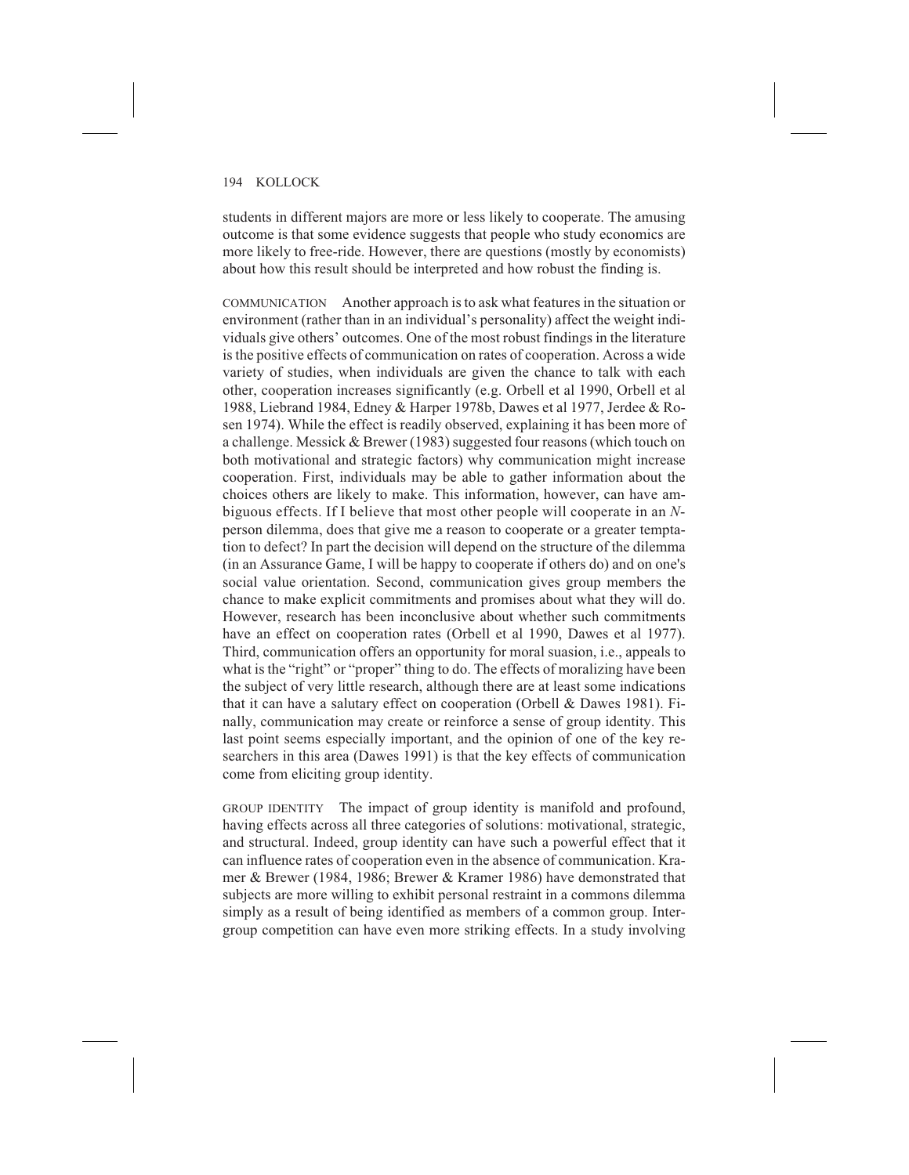students in different majors are more or less likely to cooperate. The amusing outcome is that some evidence suggests that people who study economics are more likely to free-ride. However, there are questions (mostly by economists) about how this result should be interpreted and how robust the finding is.

COMMUNICATION Another approach is to ask what features in the situation or environment (rather than in an individual's personality) affect the weight individuals give others' outcomes. One of the most robust findings in the literature is the positive effects of communication on rates of cooperation. Across a wide variety of studies, when individuals are given the chance to talk with each other, cooperation increases significantly (e.g. Orbell et al 1990, Orbell et al 1988, Liebrand 1984, Edney & Harper 1978b, Dawes et al 1977, Jerdee & Rosen 1974). While the effect is readily observed, explaining it has been more of a challenge. Messick & Brewer (1983) suggested four reasons (which touch on both motivational and strategic factors) why communication might increase cooperation. First, individuals may be able to gather information about the choices others are likely to make. This information, however, can have ambiguous effects. If I believe that most other people will cooperate in an *N*person dilemma, does that give me a reason to cooperate or a greater temptation to defect? In part the decision will depend on the structure of the dilemma (in an Assurance Game, I will be happy to cooperate if others do) and on one's social value orientation. Second, communication gives group members the chance to make explicit commitments and promises about what they will do. However, research has been inconclusive about whether such commitments have an effect on cooperation rates (Orbell et al 1990, Dawes et al 1977). Third, communication offers an opportunity for moral suasion, i.e., appeals to what is the "right" or "proper" thing to do. The effects of moralizing have been the subject of very little research, although there are at least some indications that it can have a salutary effect on cooperation (Orbell & Dawes 1981). Finally, communication may create or reinforce a sense of group identity. This last point seems especially important, and the opinion of one of the key researchers in this area (Dawes 1991) is that the key effects of communication come from eliciting group identity.

GROUP IDENTITY The impact of group identity is manifold and profound, having effects across all three categories of solutions: motivational, strategic, and structural. Indeed, group identity can have such a powerful effect that it can influence rates of cooperation even in the absence of communication. Kramer & Brewer (1984, 1986; Brewer & Kramer 1986) have demonstrated that subjects are more willing to exhibit personal restraint in a commons dilemma simply as a result of being identified as members of a common group. Intergroup competition can have even more striking effects. In a study involving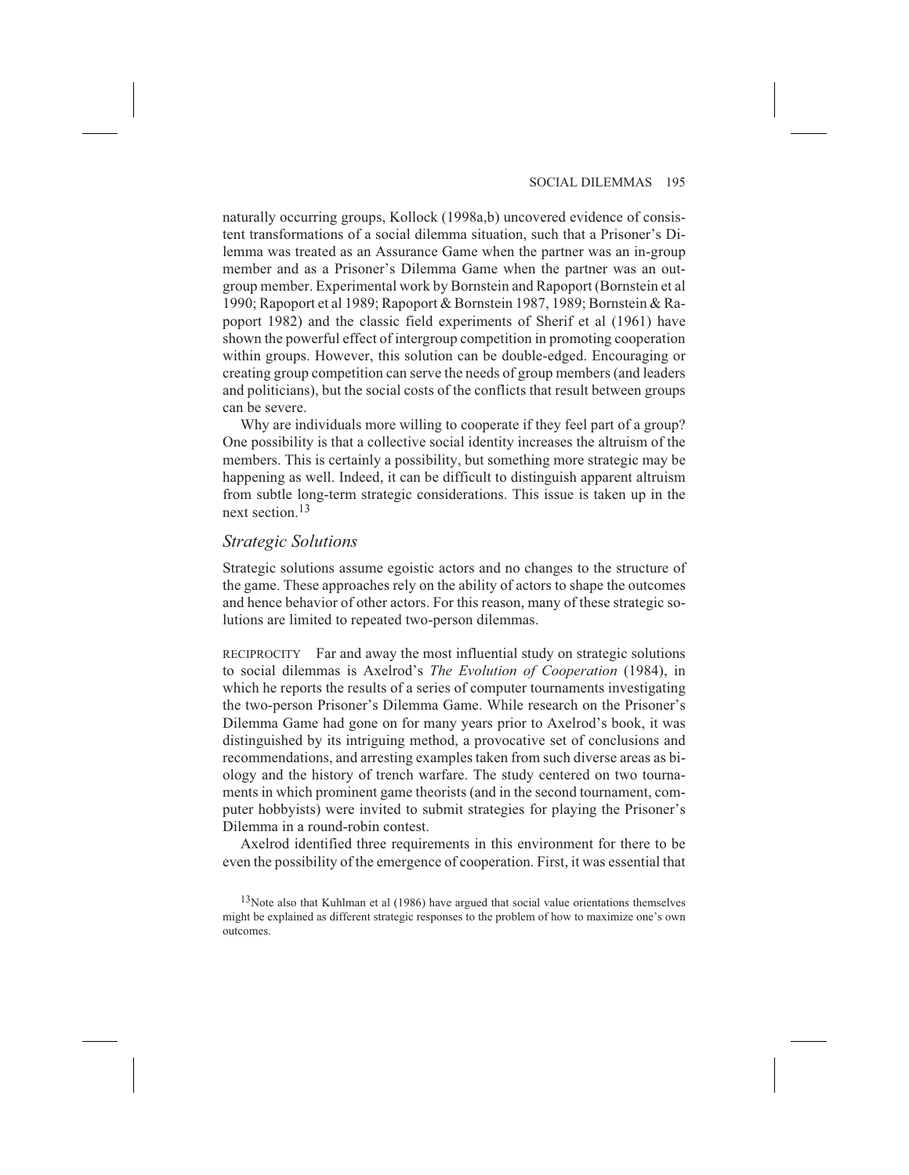naturally occurring groups, Kollock (1998a,b) uncovered evidence of consistent transformations of a social dilemma situation, such that a Prisoner's Dilemma was treated as an Assurance Game when the partner was an in-group member and as a Prisoner's Dilemma Game when the partner was an outgroup member. Experimental work by Bornstein and Rapoport (Bornstein et al 1990; Rapoport et al 1989; Rapoport & Bornstein 1987, 1989; Bornstein & Rapoport 1982) and the classic field experiments of Sherif et al (1961) have shown the powerful effect of intergroup competition in promoting cooperation within groups. However, this solution can be double-edged. Encouraging or creating group competition can serve the needs of group members (and leaders and politicians), but the social costs of the conflicts that result between groups can be severe.

Why are individuals more willing to cooperate if they feel part of a group? One possibility is that a collective social identity increases the altruism of the members. This is certainly a possibility, but something more strategic may be happening as well. Indeed, it can be difficult to distinguish apparent altruism from subtle long-term strategic considerations. This issue is taken up in the next section.<sup>13</sup>

### *Strategic Solutions*

Strategic solutions assume egoistic actors and no changes to the structure of the game. These approaches rely on the ability of actors to shape the outcomes and hence behavior of other actors. For this reason, many of these strategic solutions are limited to repeated two-person dilemmas.

RECIPROCITY Far and away the most influential study on strategic solutions to social dilemmas is Axelrod's *The Evolution of Cooperation* (1984), in which he reports the results of a series of computer tournaments investigating the two-person Prisoner's Dilemma Game. While research on the Prisoner's Dilemma Game had gone on for many years prior to Axelrod's book, it was distinguished by its intriguing method, a provocative set of conclusions and recommendations, and arresting examples taken from such diverse areas as biology and the history of trench warfare. The study centered on two tournaments in which prominent game theorists (and in the second tournament, computer hobbyists) were invited to submit strategies for playing the Prisoner's Dilemma in a round-robin contest.

Axelrod identified three requirements in this environment for there to be even the possibility of the emergence of cooperation. First, it was essential that

<sup>&</sup>lt;sup>13</sup>Note also that Kuhlman et al (1986) have argued that social value orientations themselves might be explained as different strategic responses to the problem of how to maximize one's own outcomes.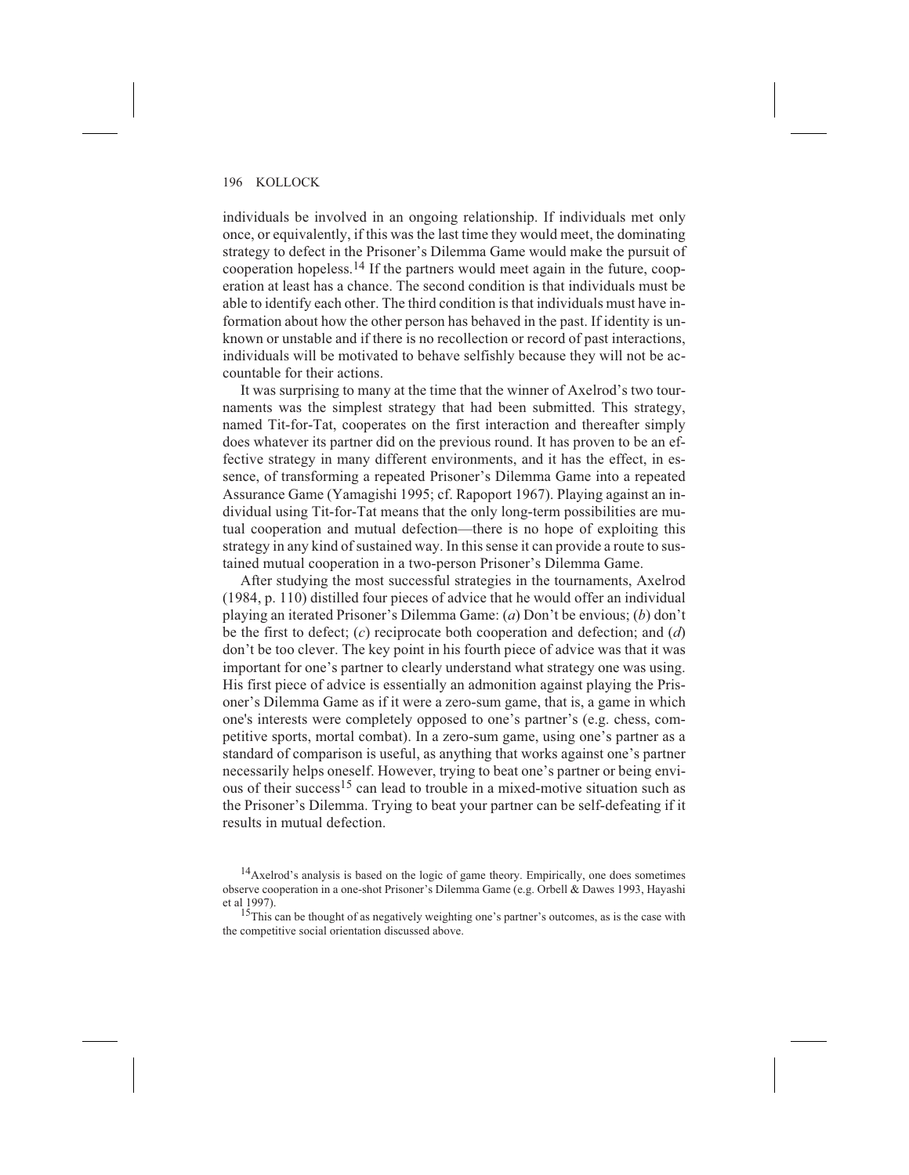individuals be involved in an ongoing relationship. If individuals met only once, or equivalently, if this was the last time they would meet, the dominating strategy to defect in the Prisoner's Dilemma Game would make the pursuit of cooperation hopeless.<sup>14</sup> If the partners would meet again in the future, cooperation at least has a chance. The second condition is that individuals must be able to identify each other. The third condition is that individuals must have information about how the other person has behaved in the past. If identity is unknown or unstable and if there is no recollection or record of past interactions, individuals will be motivated to behave selfishly because they will not be accountable for their actions.

It was surprising to many at the time that the winner of Axelrod's two tournaments was the simplest strategy that had been submitted. This strategy, named Tit-for-Tat, cooperates on the first interaction and thereafter simply does whatever its partner did on the previous round. It has proven to be an effective strategy in many different environments, and it has the effect, in essence, of transforming a repeated Prisoner's Dilemma Game into a repeated Assurance Game (Yamagishi 1995; cf. Rapoport 1967). Playing against an individual using Tit-for-Tat means that the only long-term possibilities are mutual cooperation and mutual defection—there is no hope of exploiting this strategy in any kind of sustained way. In this sense it can provide a route to sustained mutual cooperation in a two-person Prisoner's Dilemma Game.

After studying the most successful strategies in the tournaments, Axelrod (1984, p. 110) distilled four pieces of advice that he would offer an individual playing an iterated Prisoner's Dilemma Game: (*a*) Don't be envious; (*b*) don't be the first to defect; (*c*) reciprocate both cooperation and defection; and (*d*) don't be too clever. The key point in his fourth piece of advice was that it was important for one's partner to clearly understand what strategy one was using. His first piece of advice is essentially an admonition against playing the Prisoner's Dilemma Game as if it were a zero-sum game, that is, a game in which one's interests were completely opposed to one's partner's (e.g. chess, competitive sports, mortal combat). In a zero-sum game, using one's partner as a standard of comparison is useful, as anything that works against one's partner necessarily helps oneself. However, trying to beat one's partner or being envious of their success<sup>15</sup> can lead to trouble in a mixed-motive situation such as the Prisoner's Dilemma. Trying to beat your partner can be self-defeating if it results in mutual defection.

<sup>&</sup>lt;sup>14</sup> Axelrod's analysis is based on the logic of game theory. Empirically, one does sometimes observe cooperation in a one-shot Prisoner's Dilemma Game (e.g. Orbell & Dawes 1993, Hayashi et al 1997).

<sup>&</sup>lt;sup>15</sup>This can be thought of as negatively weighting one's partner's outcomes, as is the case with the competitive social orientation discussed above.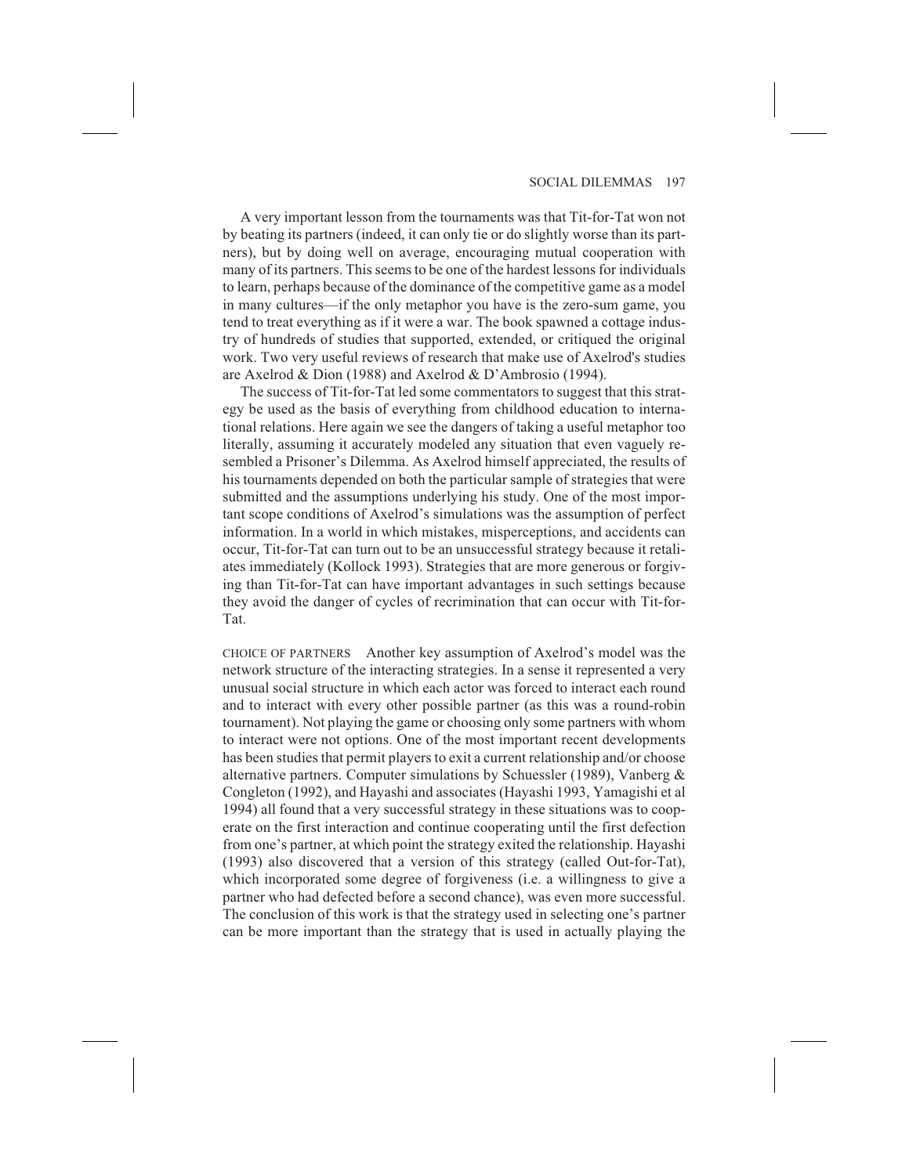A very important lesson from the tournaments was that Tit-for-Tat won not by beating its partners (indeed, it can only tie or do slightly worse than its partners), but by doing well on average, encouraging mutual cooperation with many of its partners. This seems to be one of the hardest lessons for individuals to learn, perhaps because of the dominance of the competitive game as a model in many cultures—if the only metaphor you have is the zero-sum game, you tend to treat everything as if it were a war. The book spawned a cottage industry of hundreds of studies that supported, extended, or critiqued the original work. Two very useful reviews of research that make use of Axelrod's studies are Axelrod & Dion (1988) and Axelrod & D'Ambrosio (1994).

The success of Tit-for-Tat led some commentators to suggest that this strategy be used as the basis of everything from childhood education to international relations. Here again we see the dangers of taking a useful metaphor too literally, assuming it accurately modeled any situation that even vaguely resembled a Prisoner's Dilemma. As Axelrod himself appreciated, the results of his tournaments depended on both the particular sample of strategies that were submitted and the assumptions underlying his study. One of the most important scope conditions of Axelrod's simulations was the assumption of perfect information. In a world in which mistakes, misperceptions, and accidents can occur, Tit-for-Tat can turn out to be an unsuccessful strategy because it retaliates immediately (Kollock 1993). Strategies that are more generous or forgiving than Tit-for-Tat can have important advantages in such settings because they avoid the danger of cycles of recrimination that can occur with Tit-for-Tat.

CHOICE OF PARTNERS Another key assumption of Axelrod's model was the network structure of the interacting strategies. In a sense it represented a very unusual social structure in which each actor was forced to interact each round and to interact with every other possible partner (as this was a round-robin tournament). Not playing the game or choosing only some partners with whom to interact were not options. One of the most important recent developments has been studies that permit players to exit a current relationship and/or choose alternative partners. Computer simulations by Schuessler (1989), Vanberg & Congleton (1992), and Hayashi and associates (Hayashi 1993, Yamagishi et al 1994) all found that a very successful strategy in these situations was to cooperate on the first interaction and continue cooperating until the first defection from one's partner, at which point the strategy exited the relationship. Hayashi (1993) also discovered that a version of this strategy (called Out-for-Tat), which incorporated some degree of forgiveness (i.e. a willingness to give a partner who had defected before a second chance), was even more successful. The conclusion of this work is that the strategy used in selecting one's partner can be more important than the strategy that is used in actually playing the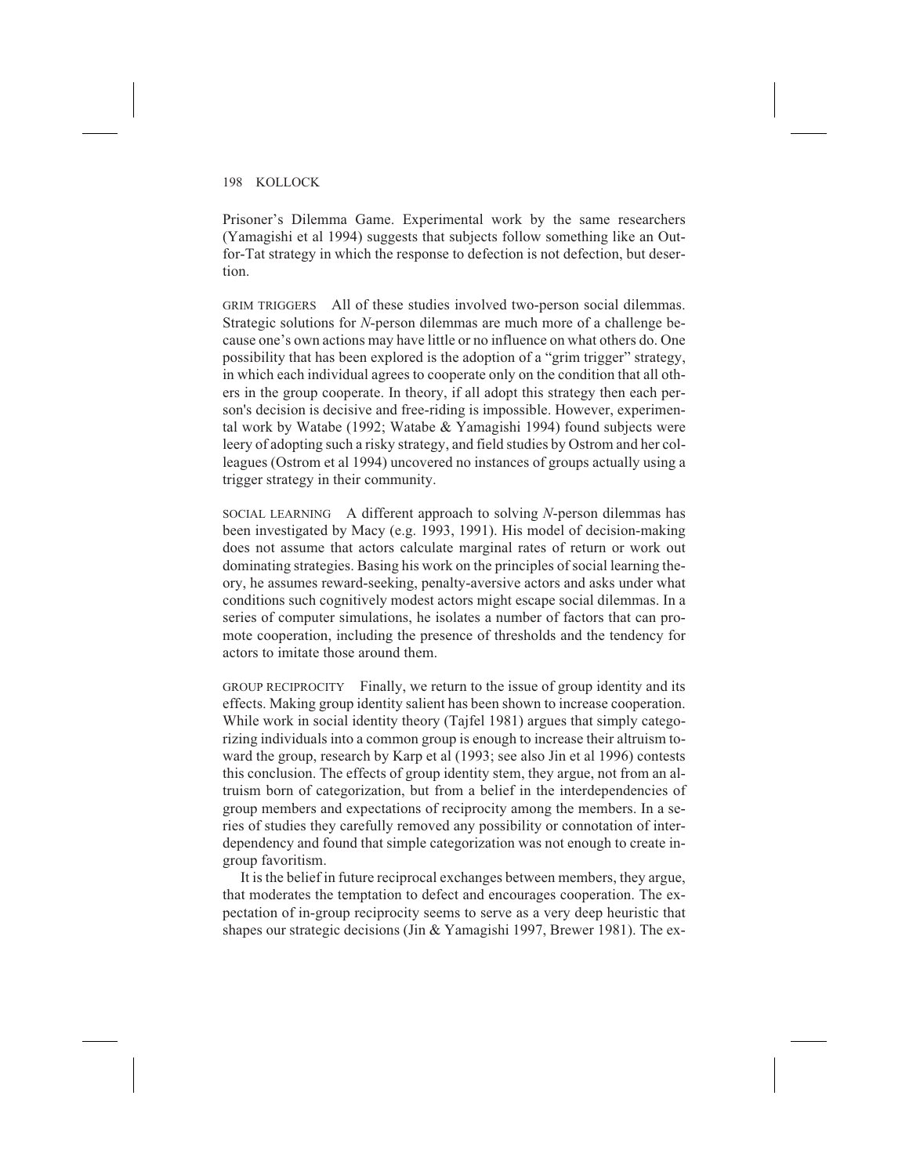Prisoner's Dilemma Game. Experimental work by the same researchers (Yamagishi et al 1994) suggests that subjects follow something like an Outfor-Tat strategy in which the response to defection is not defection, but desertion.

GRIM TRIGGERS All of these studies involved two-person social dilemmas. Strategic solutions for *N*-person dilemmas are much more of a challenge because one's own actions may have little or no influence on what others do. One possibility that has been explored is the adoption of a "grim trigger" strategy, in which each individual agrees to cooperate only on the condition that all others in the group cooperate. In theory, if all adopt this strategy then each person's decision is decisive and free-riding is impossible. However, experimental work by Watabe (1992; Watabe & Yamagishi 1994) found subjects were leery of adopting such a risky strategy, and field studies by Ostrom and her colleagues (Ostrom et al 1994) uncovered no instances of groups actually using a trigger strategy in their community.

SOCIAL LEARNING A different approach to solving *N*-person dilemmas has been investigated by Macy (e.g. 1993, 1991). His model of decision-making does not assume that actors calculate marginal rates of return or work out dominating strategies. Basing his work on the principles of social learning theory, he assumes reward-seeking, penalty-aversive actors and asks under what conditions such cognitively modest actors might escape social dilemmas. In a series of computer simulations, he isolates a number of factors that can promote cooperation, including the presence of thresholds and the tendency for actors to imitate those around them.

GROUP RECIPROCITY Finally, we return to the issue of group identity and its effects. Making group identity salient has been shown to increase cooperation. While work in social identity theory (Tajfel 1981) argues that simply categorizing individuals into a common group is enough to increase their altruism toward the group, research by Karp et al (1993; see also Jin et al 1996) contests this conclusion. The effects of group identity stem, they argue, not from an altruism born of categorization, but from a belief in the interdependencies of group members and expectations of reciprocity among the members. In a series of studies they carefully removed any possibility or connotation of interdependency and found that simple categorization was not enough to create ingroup favoritism.

It is the belief in future reciprocal exchanges between members, they argue, that moderates the temptation to defect and encourages cooperation. The expectation of in-group reciprocity seems to serve as a very deep heuristic that shapes our strategic decisions (Jin & Yamagishi 1997, Brewer 1981). The ex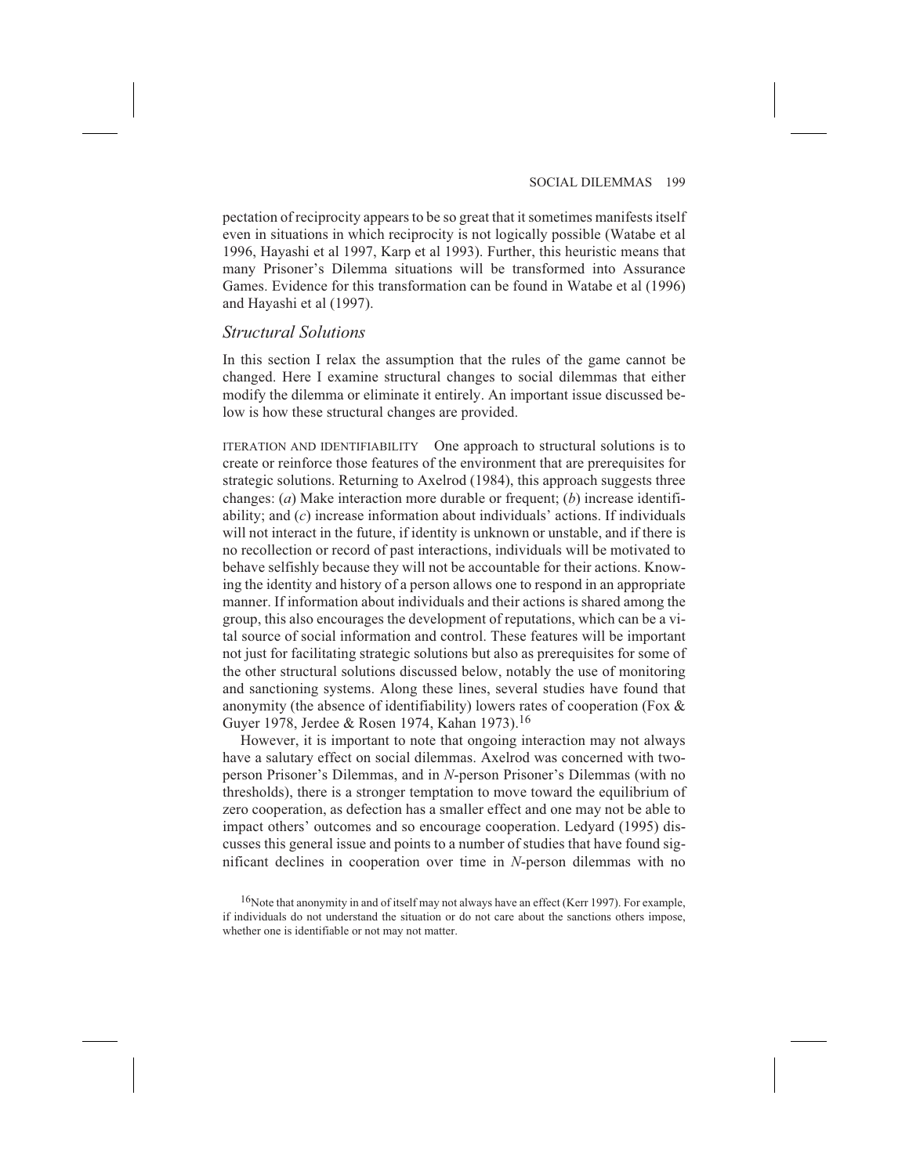pectation of reciprocity appears to be so great that it sometimes manifests itself even in situations in which reciprocity is not logically possible (Watabe et al 1996, Hayashi et al 1997, Karp et al 1993). Further, this heuristic means that many Prisoner's Dilemma situations will be transformed into Assurance Games. Evidence for this transformation can be found in Watabe et al (1996) and Hayashi et al (1997).

#### *Structural Solutions*

In this section I relax the assumption that the rules of the game cannot be changed. Here I examine structural changes to social dilemmas that either modify the dilemma or eliminate it entirely. An important issue discussed below is how these structural changes are provided.

ITERATION AND IDENTIFIABILITY One approach to structural solutions is to create or reinforce those features of the environment that are prerequisites for strategic solutions. Returning to Axelrod (1984), this approach suggests three changes: (*a*) Make interaction more durable or frequent; (*b*) increase identifiability; and (*c*) increase information about individuals' actions. If individuals will not interact in the future, if identity is unknown or unstable, and if there is no recollection or record of past interactions, individuals will be motivated to behave selfishly because they will not be accountable for their actions. Knowing the identity and history of a person allows one to respond in an appropriate manner. If information about individuals and their actions is shared among the group, this also encourages the development of reputations, which can be a vital source of social information and control. These features will be important not just for facilitating strategic solutions but also as prerequisites for some of the other structural solutions discussed below, notably the use of monitoring and sanctioning systems. Along these lines, several studies have found that anonymity (the absence of identifiability) lowers rates of cooperation (Fox & Guyer 1978, Jerdee & Rosen 1974, Kahan 1973).<sup>16</sup>

However, it is important to note that ongoing interaction may not always have a salutary effect on social dilemmas. Axelrod was concerned with twoperson Prisoner's Dilemmas, and in *N*-person Prisoner's Dilemmas (with no thresholds), there is a stronger temptation to move toward the equilibrium of zero cooperation, as defection has a smaller effect and one may not be able to impact others' outcomes and so encourage cooperation. Ledyard (1995) discusses this general issue and points to a number of studies that have found significant declines in cooperation over time in *N*-person dilemmas with no

<sup>&</sup>lt;sup>16</sup>Note that anonymity in and of itself may not always have an effect (Kerr 1997). For example, if individuals do not understand the situation or do not care about the sanctions others impose, whether one is identifiable or not may not matter.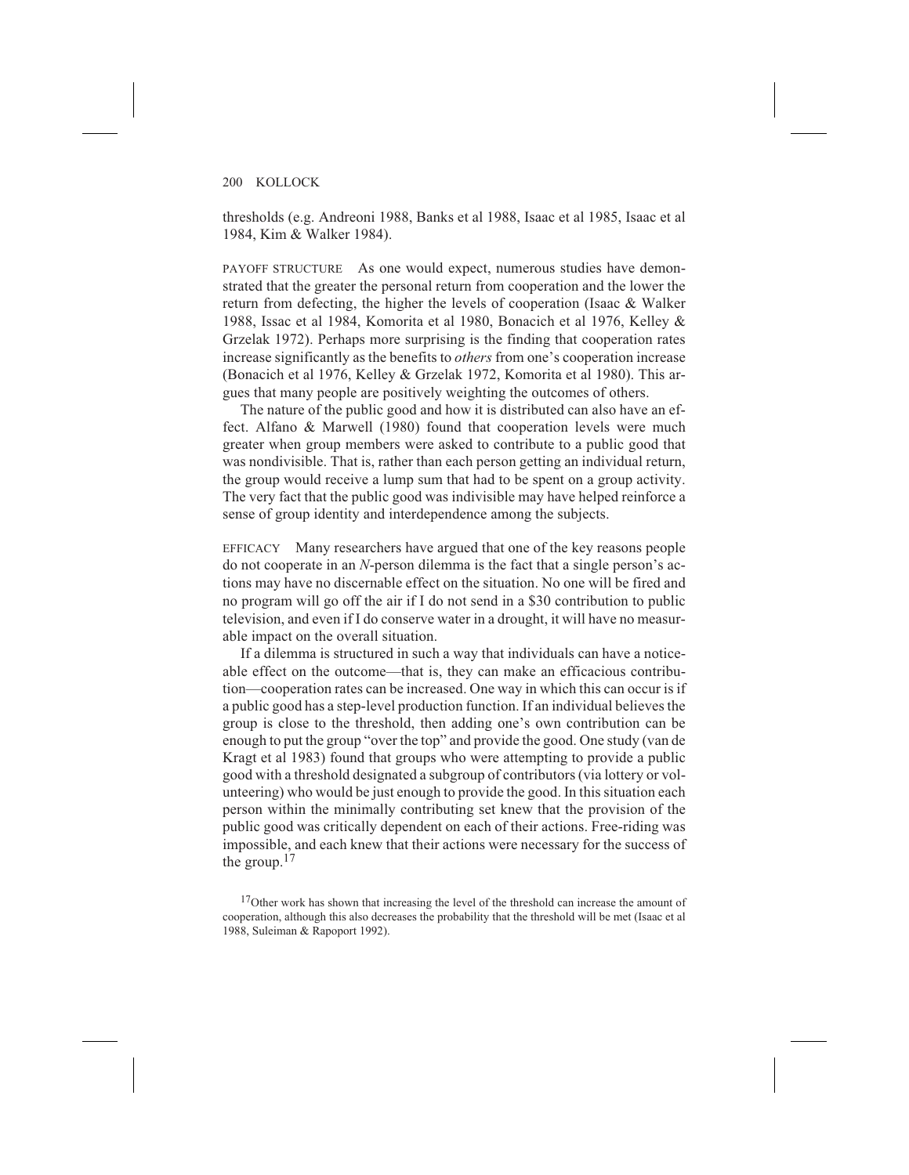thresholds (e.g. Andreoni 1988, Banks et al 1988, Isaac et al 1985, Isaac et al 1984, Kim & Walker 1984).

PAYOFF STRUCTURE As one would expect, numerous studies have demonstrated that the greater the personal return from cooperation and the lower the return from defecting, the higher the levels of cooperation (Isaac & Walker 1988, Issac et al 1984, Komorita et al 1980, Bonacich et al 1976, Kelley & Grzelak 1972). Perhaps more surprising is the finding that cooperation rates increase significantly as the benefits to *others* from one's cooperation increase (Bonacich et al 1976, Kelley & Grzelak 1972, Komorita et al 1980). This argues that many people are positively weighting the outcomes of others.

The nature of the public good and how it is distributed can also have an effect. Alfano & Marwell (1980) found that cooperation levels were much greater when group members were asked to contribute to a public good that was nondivisible. That is, rather than each person getting an individual return, the group would receive a lump sum that had to be spent on a group activity. The very fact that the public good was indivisible may have helped reinforce a sense of group identity and interdependence among the subjects.

EFFICACY Many researchers have argued that one of the key reasons people do not cooperate in an *N*-person dilemma is the fact that a single person's actions may have no discernable effect on the situation. No one will be fired and no program will go off the air if I do not send in a \$30 contribution to public television, and even if I do conserve water in a drought, it will have no measurable impact on the overall situation.

If a dilemma is structured in such a way that individuals can have a noticeable effect on the outcome—that is, they can make an efficacious contribution—cooperation rates can be increased. One way in which this can occur is if a public good has a step-level production function. If an individual believes the group is close to the threshold, then adding one's own contribution can be enough to put the group "over the top" and provide the good. One study (van de Kragt et al 1983) found that groups who were attempting to provide a public good with a threshold designated a subgroup of contributors (via lottery or volunteering) who would be just enough to provide the good. In this situation each person within the minimally contributing set knew that the provision of the public good was critically dependent on each of their actions. Free-riding was impossible, and each knew that their actions were necessary for the success of the group. $17$ 

<sup>&</sup>lt;sup>17</sup>Other work has shown that increasing the level of the threshold can increase the amount of cooperation, although this also decreases the probability that the threshold will be met (Isaac et al 1988, Suleiman & Rapoport 1992).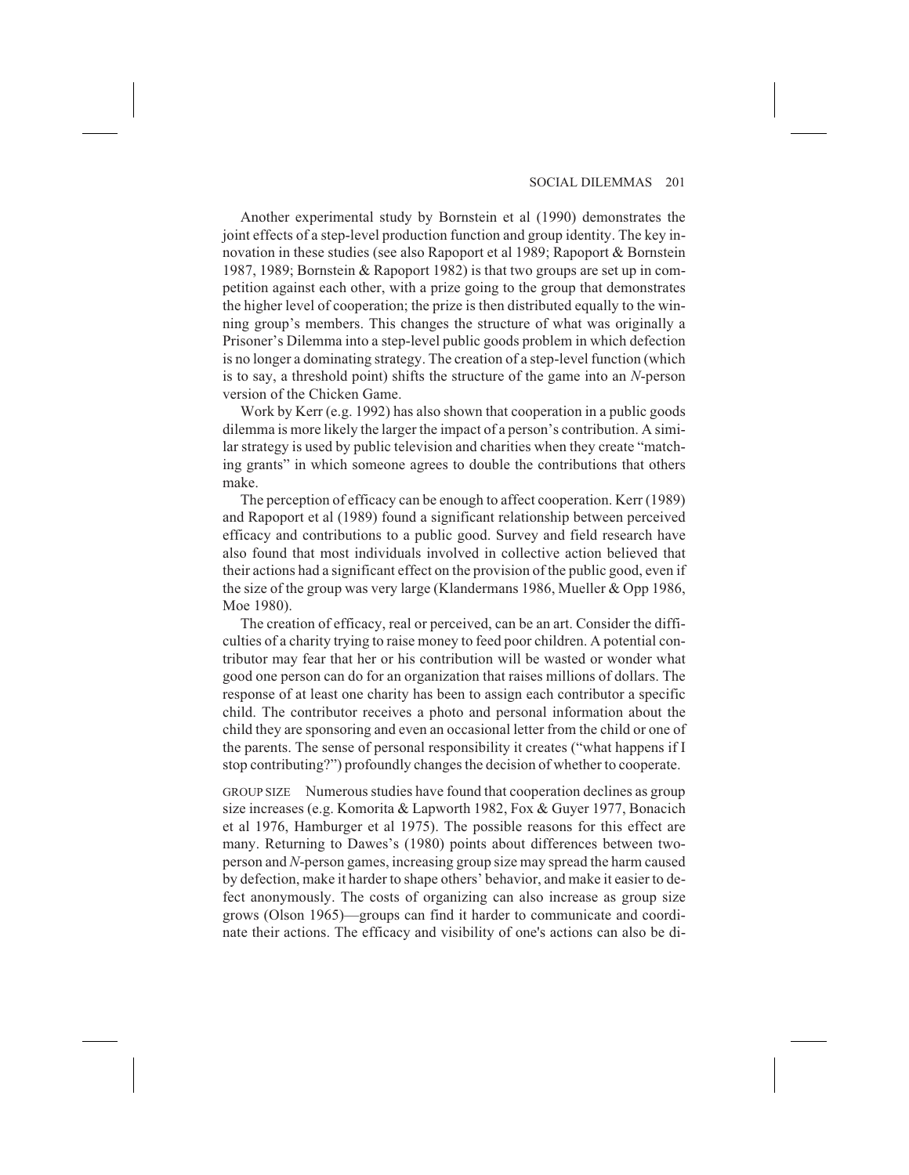Another experimental study by Bornstein et al (1990) demonstrates the joint effects of a step-level production function and group identity. The key innovation in these studies (see also Rapoport et al 1989; Rapoport & Bornstein 1987, 1989; Bornstein & Rapoport 1982) is that two groups are set up in competition against each other, with a prize going to the group that demonstrates the higher level of cooperation; the prize is then distributed equally to the winning group's members. This changes the structure of what was originally a Prisoner's Dilemma into a step-level public goods problem in which defection is no longer a dominating strategy. The creation of a step-level function (which is to say, a threshold point) shifts the structure of the game into an *N*-person version of the Chicken Game.

Work by Kerr (e.g. 1992) has also shown that cooperation in a public goods dilemma is more likely the larger the impact of a person's contribution. A similar strategy is used by public television and charities when they create "matching grants" in which someone agrees to double the contributions that others make.

The perception of efficacy can be enough to affect cooperation. Kerr (1989) and Rapoport et al (1989) found a significant relationship between perceived efficacy and contributions to a public good. Survey and field research have also found that most individuals involved in collective action believed that their actions had a significant effect on the provision of the public good, even if the size of the group was very large (Klandermans 1986, Mueller & Opp 1986, Moe 1980).

The creation of efficacy, real or perceived, can be an art. Consider the difficulties of a charity trying to raise money to feed poor children. A potential contributor may fear that her or his contribution will be wasted or wonder what good one person can do for an organization that raises millions of dollars. The response of at least one charity has been to assign each contributor a specific child. The contributor receives a photo and personal information about the child they are sponsoring and even an occasional letter from the child or one of the parents. The sense of personal responsibility it creates ("what happens if I stop contributing?") profoundly changes the decision of whether to cooperate.

GROUP SIZE Numerous studies have found that cooperation declines as group size increases (e.g. Komorita & Lapworth 1982, Fox & Guyer 1977, Bonacich et al 1976, Hamburger et al 1975). The possible reasons for this effect are many. Returning to Dawes's (1980) points about differences between twoperson and *N*-person games, increasing group size may spread the harm caused by defection, make it harder to shape others' behavior, and make it easier to defect anonymously. The costs of organizing can also increase as group size grows (Olson 1965)—groups can find it harder to communicate and coordinate their actions. The efficacy and visibility of one's actions can also be di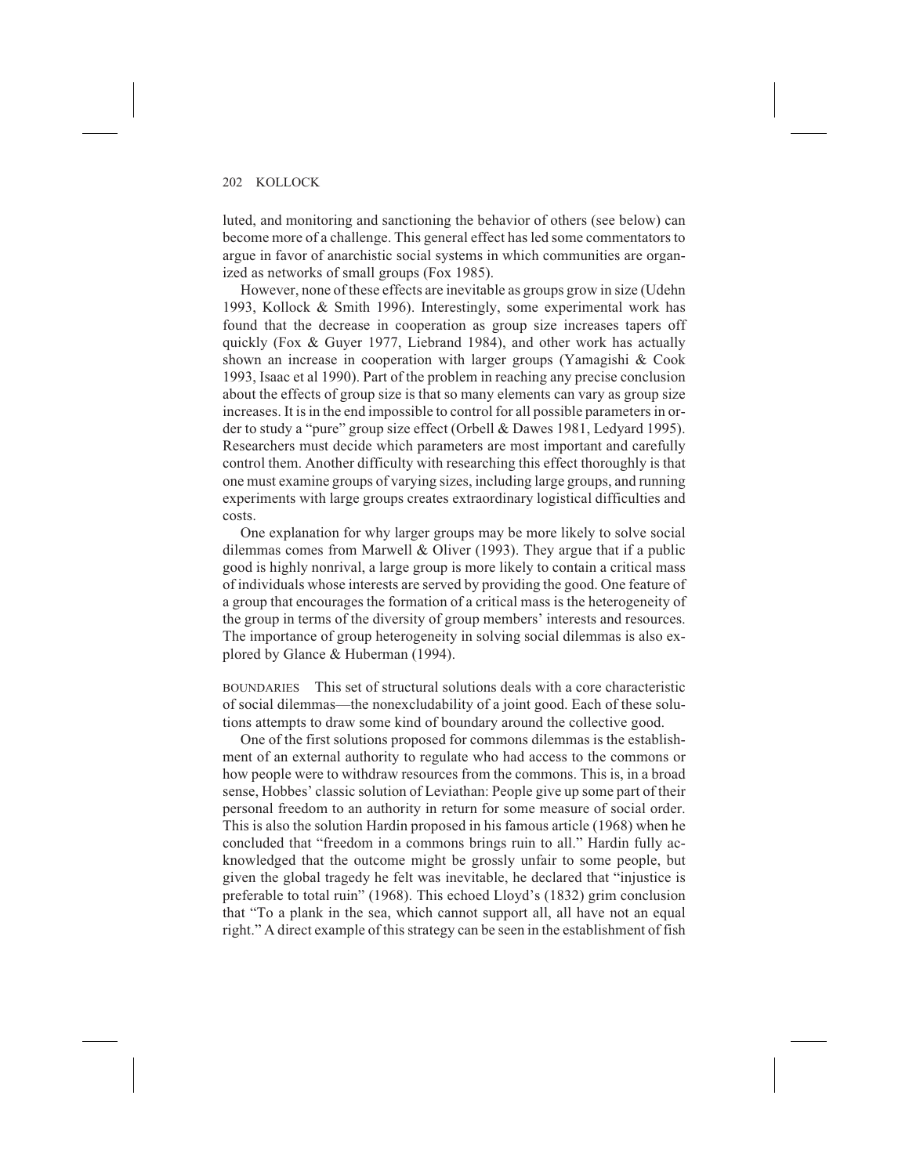luted, and monitoring and sanctioning the behavior of others (see below) can become more of a challenge. This general effect has led some commentators to argue in favor of anarchistic social systems in which communities are organized as networks of small groups (Fox 1985).

However, none of these effects are inevitable as groups grow in size (Udehn 1993, Kollock & Smith 1996). Interestingly, some experimental work has found that the decrease in cooperation as group size increases tapers off quickly (Fox & Guyer 1977, Liebrand 1984), and other work has actually shown an increase in cooperation with larger groups (Yamagishi & Cook 1993, Isaac et al 1990). Part of the problem in reaching any precise conclusion about the effects of group size is that so many elements can vary as group size increases. It is in the end impossible to control for all possible parameters in order to study a "pure" group size effect (Orbell & Dawes 1981, Ledyard 1995). Researchers must decide which parameters are most important and carefully control them. Another difficulty with researching this effect thoroughly is that one must examine groups of varying sizes, including large groups, and running experiments with large groups creates extraordinary logistical difficulties and costs.

One explanation for why larger groups may be more likely to solve social dilemmas comes from Marwell & Oliver (1993). They argue that if a public good is highly nonrival, a large group is more likely to contain a critical mass of individuals whose interests are served by providing the good. One feature of a group that encourages the formation of a critical mass is the heterogeneity of the group in terms of the diversity of group members' interests and resources. The importance of group heterogeneity in solving social dilemmas is also explored by Glance & Huberman (1994).

BOUNDARIES This set of structural solutions deals with a core characteristic of social dilemmas—the nonexcludability of a joint good. Each of these solutions attempts to draw some kind of boundary around the collective good.

One of the first solutions proposed for commons dilemmas is the establishment of an external authority to regulate who had access to the commons or how people were to withdraw resources from the commons. This is, in a broad sense, Hobbes' classic solution of Leviathan: People give up some part of their personal freedom to an authority in return for some measure of social order. This is also the solution Hardin proposed in his famous article (1968) when he concluded that "freedom in a commons brings ruin to all." Hardin fully acknowledged that the outcome might be grossly unfair to some people, but given the global tragedy he felt was inevitable, he declared that "injustice is preferable to total ruin" (1968). This echoed Lloyd's (1832) grim conclusion that "To a plank in the sea, which cannot support all, all have not an equal right." A direct example of this strategy can be seen in the establishment of fish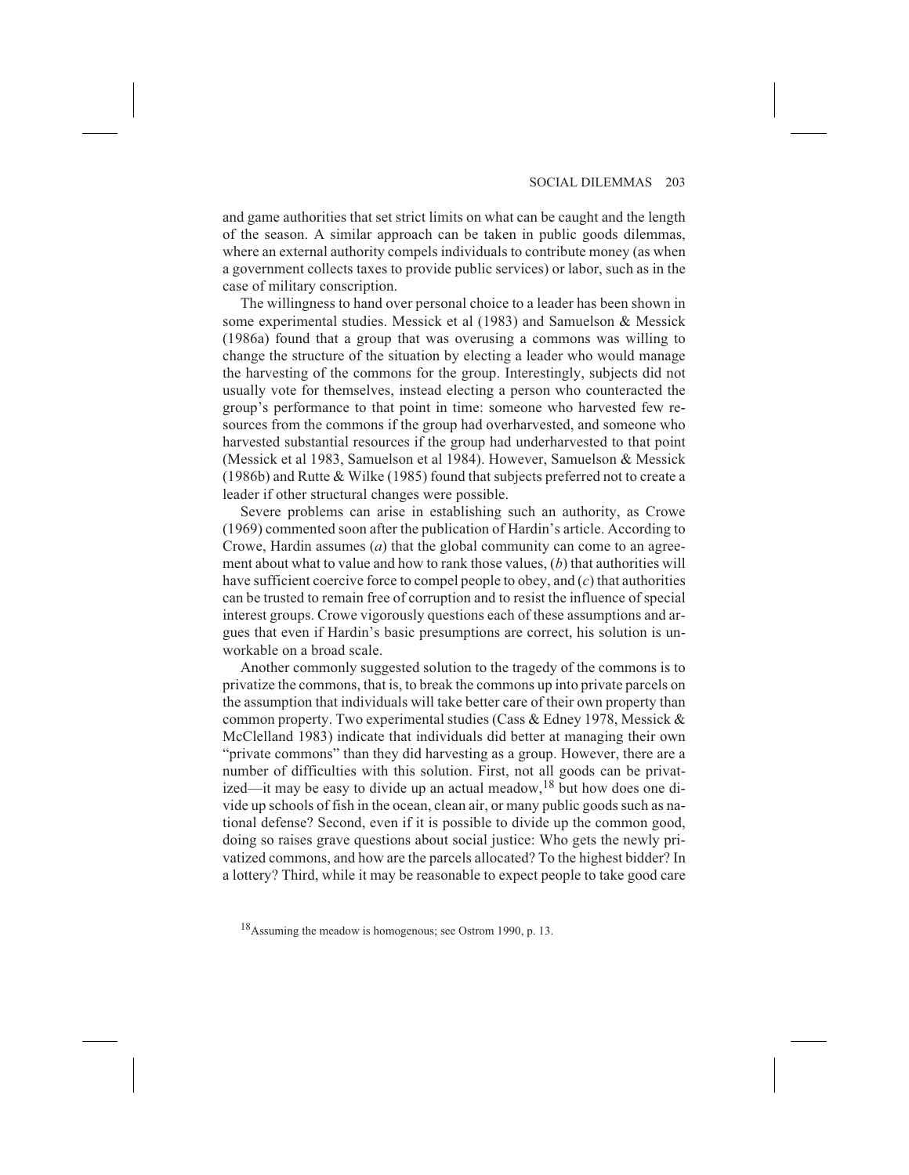and game authorities that set strict limits on what can be caught and the length of the season. A similar approach can be taken in public goods dilemmas, where an external authority compels individuals to contribute money (as when a government collects taxes to provide public services) or labor, such as in the case of military conscription.

The willingness to hand over personal choice to a leader has been shown in some experimental studies. Messick et al (1983) and Samuelson & Messick (1986a) found that a group that was overusing a commons was willing to change the structure of the situation by electing a leader who would manage the harvesting of the commons for the group. Interestingly, subjects did not usually vote for themselves, instead electing a person who counteracted the group's performance to that point in time: someone who harvested few resources from the commons if the group had overharvested, and someone who harvested substantial resources if the group had underharvested to that point (Messick et al 1983, Samuelson et al 1984). However, Samuelson & Messick (1986b) and Rutte & Wilke (1985) found that subjects preferred not to create a leader if other structural changes were possible.

Severe problems can arise in establishing such an authority, as Crowe (1969) commented soon after the publication of Hardin's article. According to Crowe, Hardin assumes (*a*) that the global community can come to an agreement about what to value and how to rank those values, (*b*) that authorities will have sufficient coercive force to compel people to obey, and (*c*) that authorities can be trusted to remain free of corruption and to resist the influence of special interest groups. Crowe vigorously questions each of these assumptions and argues that even if Hardin's basic presumptions are correct, his solution is unworkable on a broad scale.

Another commonly suggested solution to the tragedy of the commons is to privatize the commons, that is, to break the commons up into private parcels on the assumption that individuals will take better care of their own property than common property. Two experimental studies (Cass & Edney 1978, Messick & McClelland 1983) indicate that individuals did better at managing their own "private commons" than they did harvesting as a group. However, there are a number of difficulties with this solution. First, not all goods can be privatized—it may be easy to divide up an actual meadow,  $18$  but how does one divide up schools of fish in the ocean, clean air, or many public goods such as national defense? Second, even if it is possible to divide up the common good, doing so raises grave questions about social justice: Who gets the newly privatized commons, and how are the parcels allocated? To the highest bidder? In a lottery? Third, while it may be reasonable to expect people to take good care

<sup>&</sup>lt;sup>18</sup> Assuming the meadow is homogenous; see Ostrom 1990, p. 13.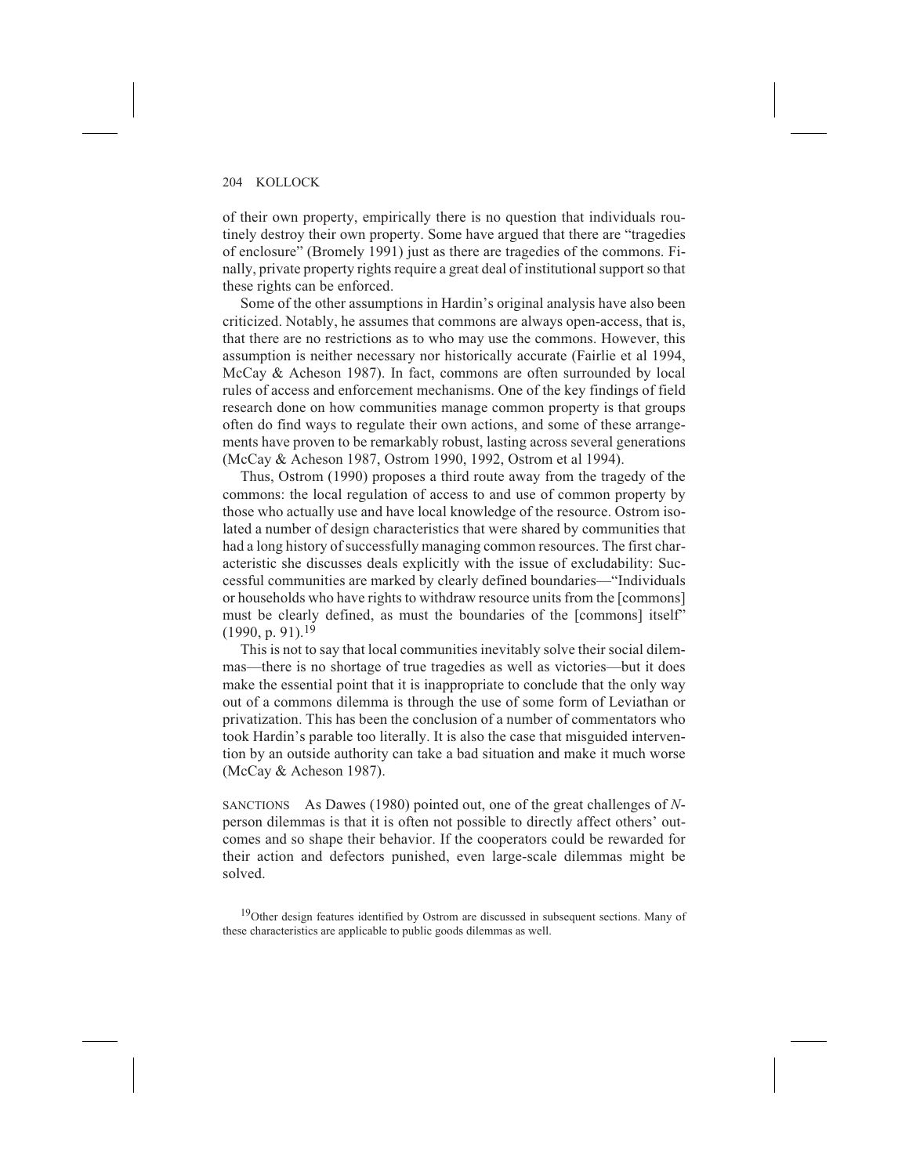of their own property, empirically there is no question that individuals routinely destroy their own property. Some have argued that there are "tragedies of enclosure" (Bromely 1991) just as there are tragedies of the commons. Finally, private property rights require a great deal of institutional support so that these rights can be enforced.

Some of the other assumptions in Hardin's original analysis have also been criticized. Notably, he assumes that commons are always open-access, that is, that there are no restrictions as to who may use the commons. However, this assumption is neither necessary nor historically accurate (Fairlie et al 1994, McCay & Acheson 1987). In fact, commons are often surrounded by local rules of access and enforcement mechanisms. One of the key findings of field research done on how communities manage common property is that groups often do find ways to regulate their own actions, and some of these arrangements have proven to be remarkably robust, lasting across several generations (McCay & Acheson 1987, Ostrom 1990, 1992, Ostrom et al 1994).

Thus, Ostrom (1990) proposes a third route away from the tragedy of the commons: the local regulation of access to and use of common property by those who actually use and have local knowledge of the resource. Ostrom isolated a number of design characteristics that were shared by communities that had a long history of successfully managing common resources. The first characteristic she discusses deals explicitly with the issue of excludability: Successful communities are marked by clearly defined boundaries—"Individuals or households who have rights to withdraw resource units from the [commons] must be clearly defined, as must the boundaries of the [commons] itself"  $(1990, p. 91).$ <sup>19</sup>

This is not to say that local communities inevitably solve their social dilemmas—there is no shortage of true tragedies as well as victories—but it does make the essential point that it is inappropriate to conclude that the only way out of a commons dilemma is through the use of some form of Leviathan or privatization. This has been the conclusion of a number of commentators who took Hardin's parable too literally. It is also the case that misguided intervention by an outside authority can take a bad situation and make it much worse (McCay & Acheson 1987).

SANCTIONS As Dawes (1980) pointed out, one of the great challenges of *N*person dilemmas is that it is often not possible to directly affect others' outcomes and so shape their behavior. If the cooperators could be rewarded for their action and defectors punished, even large-scale dilemmas might be solved.

<sup>&</sup>lt;sup>19</sup>Other design features identified by Ostrom are discussed in subsequent sections. Many of these characteristics are applicable to public goods dilemmas as well.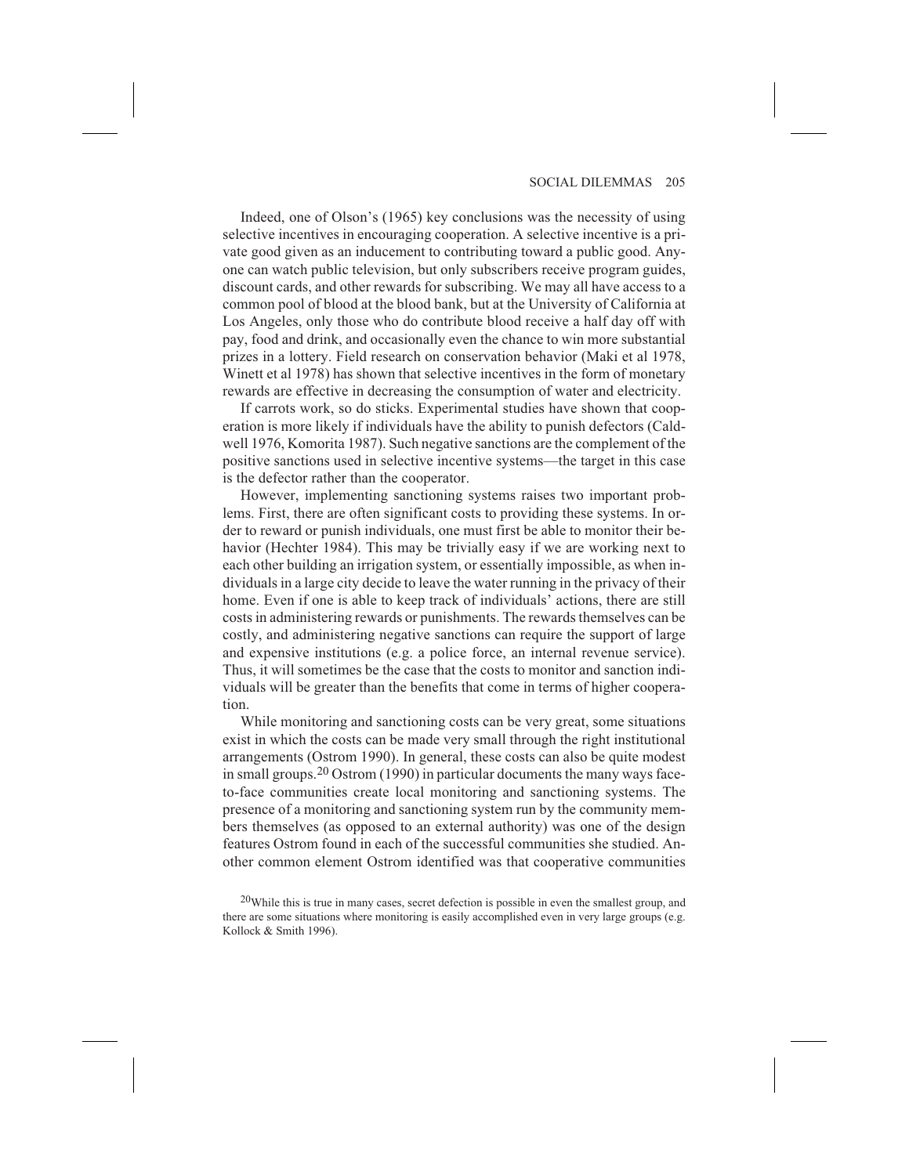Indeed, one of Olson's (1965) key conclusions was the necessity of using selective incentives in encouraging cooperation. A selective incentive is a private good given as an inducement to contributing toward a public good. Anyone can watch public television, but only subscribers receive program guides, discount cards, and other rewards for subscribing. We may all have access to a common pool of blood at the blood bank, but at the University of California at Los Angeles, only those who do contribute blood receive a half day off with pay, food and drink, and occasionally even the chance to win more substantial prizes in a lottery. Field research on conservation behavior (Maki et al 1978, Winett et al 1978) has shown that selective incentives in the form of monetary rewards are effective in decreasing the consumption of water and electricity.

If carrots work, so do sticks. Experimental studies have shown that cooperation is more likely if individuals have the ability to punish defectors (Caldwell 1976, Komorita 1987). Such negative sanctions are the complement of the positive sanctions used in selective incentive systems—the target in this case is the defector rather than the cooperator.

However, implementing sanctioning systems raises two important problems. First, there are often significant costs to providing these systems. In order to reward or punish individuals, one must first be able to monitor their behavior (Hechter 1984). This may be trivially easy if we are working next to each other building an irrigation system, or essentially impossible, as when individuals in a large city decide to leave the water running in the privacy of their home. Even if one is able to keep track of individuals' actions, there are still costs in administering rewards or punishments. The rewards themselves can be costly, and administering negative sanctions can require the support of large and expensive institutions (e.g. a police force, an internal revenue service). Thus, it will sometimes be the case that the costs to monitor and sanction individuals will be greater than the benefits that come in terms of higher cooperation.

While monitoring and sanctioning costs can be very great, some situations exist in which the costs can be made very small through the right institutional arrangements (Ostrom 1990). In general, these costs can also be quite modest in small groups.<sup>20</sup> Ostrom (1990) in particular documents the many ways faceto-face communities create local monitoring and sanctioning systems. The presence of a monitoring and sanctioning system run by the community members themselves (as opposed to an external authority) was one of the design features Ostrom found in each of the successful communities she studied. Another common element Ostrom identified was that cooperative communities

<sup>&</sup>lt;sup>20</sup>While this is true in many cases, secret defection is possible in even the smallest group, and there are some situations where monitoring is easily accomplished even in very large groups (e.g. Kollock & Smith 1996).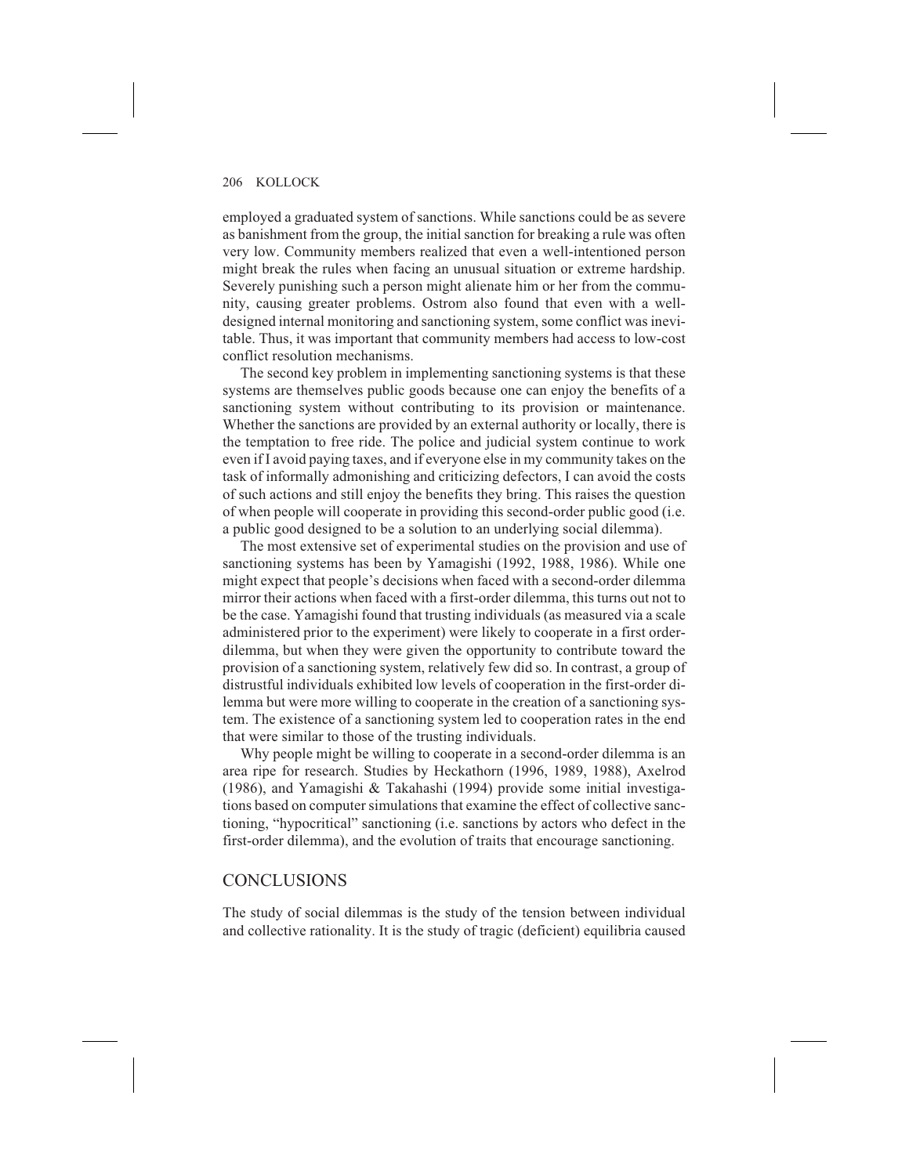employed a graduated system of sanctions. While sanctions could be as severe as banishment from the group, the initial sanction for breaking a rule was often very low. Community members realized that even a well-intentioned person might break the rules when facing an unusual situation or extreme hardship. Severely punishing such a person might alienate him or her from the community, causing greater problems. Ostrom also found that even with a welldesigned internal monitoring and sanctioning system, some conflict was inevitable. Thus, it was important that community members had access to low-cost conflict resolution mechanisms.

The second key problem in implementing sanctioning systems is that these systems are themselves public goods because one can enjoy the benefits of a sanctioning system without contributing to its provision or maintenance. Whether the sanctions are provided by an external authority or locally, there is the temptation to free ride. The police and judicial system continue to work even if I avoid paying taxes, and if everyone else in my community takes on the task of informally admonishing and criticizing defectors, I can avoid the costs of such actions and still enjoy the benefits they bring. This raises the question of when people will cooperate in providing this second-order public good (i.e. a public good designed to be a solution to an underlying social dilemma).

The most extensive set of experimental studies on the provision and use of sanctioning systems has been by Yamagishi (1992, 1988, 1986). While one might expect that people's decisions when faced with a second-order dilemma mirror their actions when faced with a first-order dilemma, this turns out not to be the case. Yamagishi found that trusting individuals (as measured via a scale administered prior to the experiment) were likely to cooperate in a first orderdilemma, but when they were given the opportunity to contribute toward the provision of a sanctioning system, relatively few did so. In contrast, a group of distrustful individuals exhibited low levels of cooperation in the first-order dilemma but were more willing to cooperate in the creation of a sanctioning system. The existence of a sanctioning system led to cooperation rates in the end that were similar to those of the trusting individuals.

Why people might be willing to cooperate in a second-order dilemma is an area ripe for research. Studies by Heckathorn (1996, 1989, 1988), Axelrod (1986), and Yamagishi & Takahashi (1994) provide some initial investigations based on computer simulations that examine the effect of collective sanctioning, "hypocritical" sanctioning (i.e. sanctions by actors who defect in the first-order dilemma), and the evolution of traits that encourage sanctioning.

## **CONCLUSIONS**

The study of social dilemmas is the study of the tension between individual and collective rationality. It is the study of tragic (deficient) equilibria caused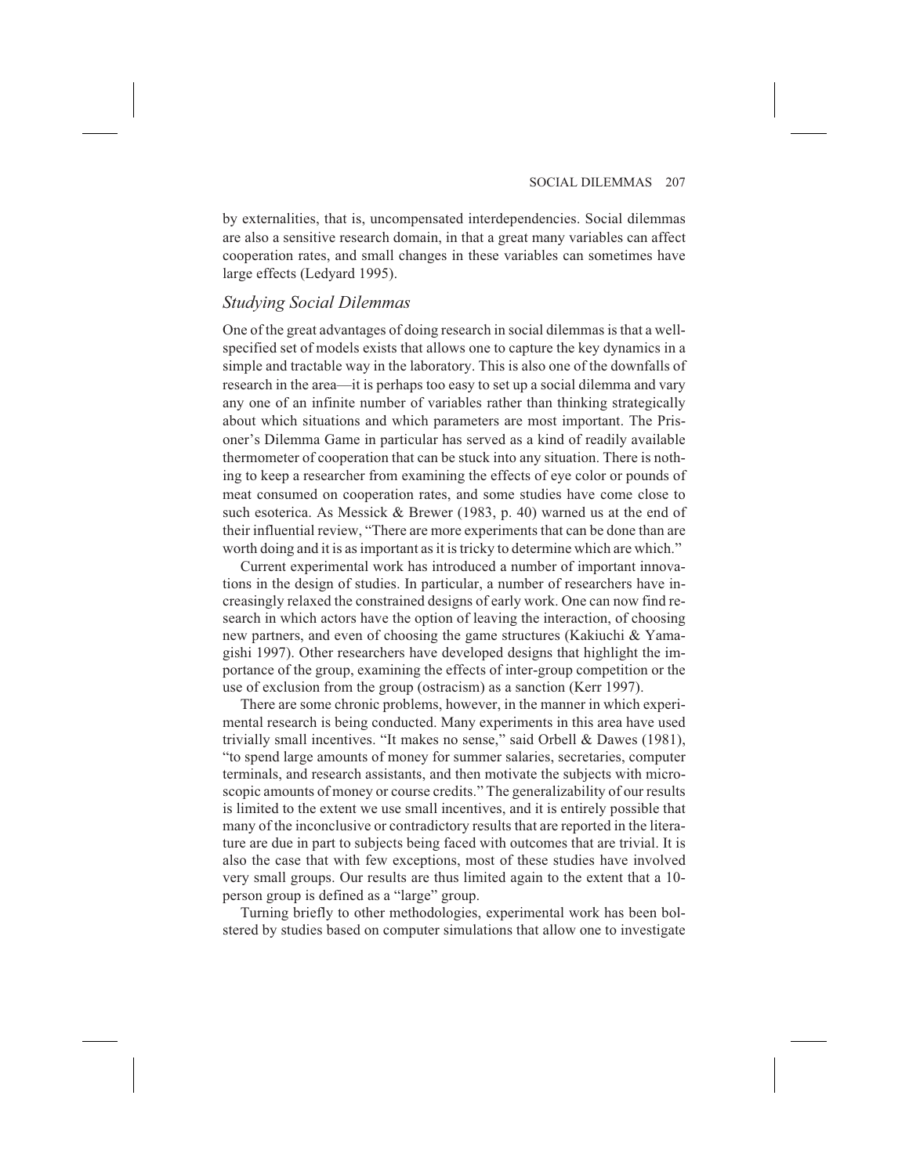by externalities, that is, uncompensated interdependencies. Social dilemmas are also a sensitive research domain, in that a great many variables can affect cooperation rates, and small changes in these variables can sometimes have large effects (Ledyard 1995).

### *Studying Social Dilemmas*

One of the great advantages of doing research in social dilemmas is that a wellspecified set of models exists that allows one to capture the key dynamics in a simple and tractable way in the laboratory. This is also one of the downfalls of research in the area—it is perhaps too easy to set up a social dilemma and vary any one of an infinite number of variables rather than thinking strategically about which situations and which parameters are most important. The Prisoner's Dilemma Game in particular has served as a kind of readily available thermometer of cooperation that can be stuck into any situation. There is nothing to keep a researcher from examining the effects of eye color or pounds of meat consumed on cooperation rates, and some studies have come close to such esoterica. As Messick & Brewer (1983, p. 40) warned us at the end of their influential review, "There are more experiments that can be done than are worth doing and it is as important as it is tricky to determine which are which."

Current experimental work has introduced a number of important innovations in the design of studies. In particular, a number of researchers have increasingly relaxed the constrained designs of early work. One can now find research in which actors have the option of leaving the interaction, of choosing new partners, and even of choosing the game structures (Kakiuchi & Yamagishi 1997). Other researchers have developed designs that highlight the importance of the group, examining the effects of inter-group competition or the use of exclusion from the group (ostracism) as a sanction (Kerr 1997).

There are some chronic problems, however, in the manner in which experimental research is being conducted. Many experiments in this area have used trivially small incentives. "It makes no sense," said Orbell & Dawes (1981), "to spend large amounts of money for summer salaries, secretaries, computer terminals, and research assistants, and then motivate the subjects with microscopic amounts of money or course credits." The generalizability of our results is limited to the extent we use small incentives, and it is entirely possible that many of the inconclusive or contradictory results that are reported in the literature are due in part to subjects being faced with outcomes that are trivial. It is also the case that with few exceptions, most of these studies have involved very small groups. Our results are thus limited again to the extent that a 10 person group is defined as a "large" group.

Turning briefly to other methodologies, experimental work has been bolstered by studies based on computer simulations that allow one to investigate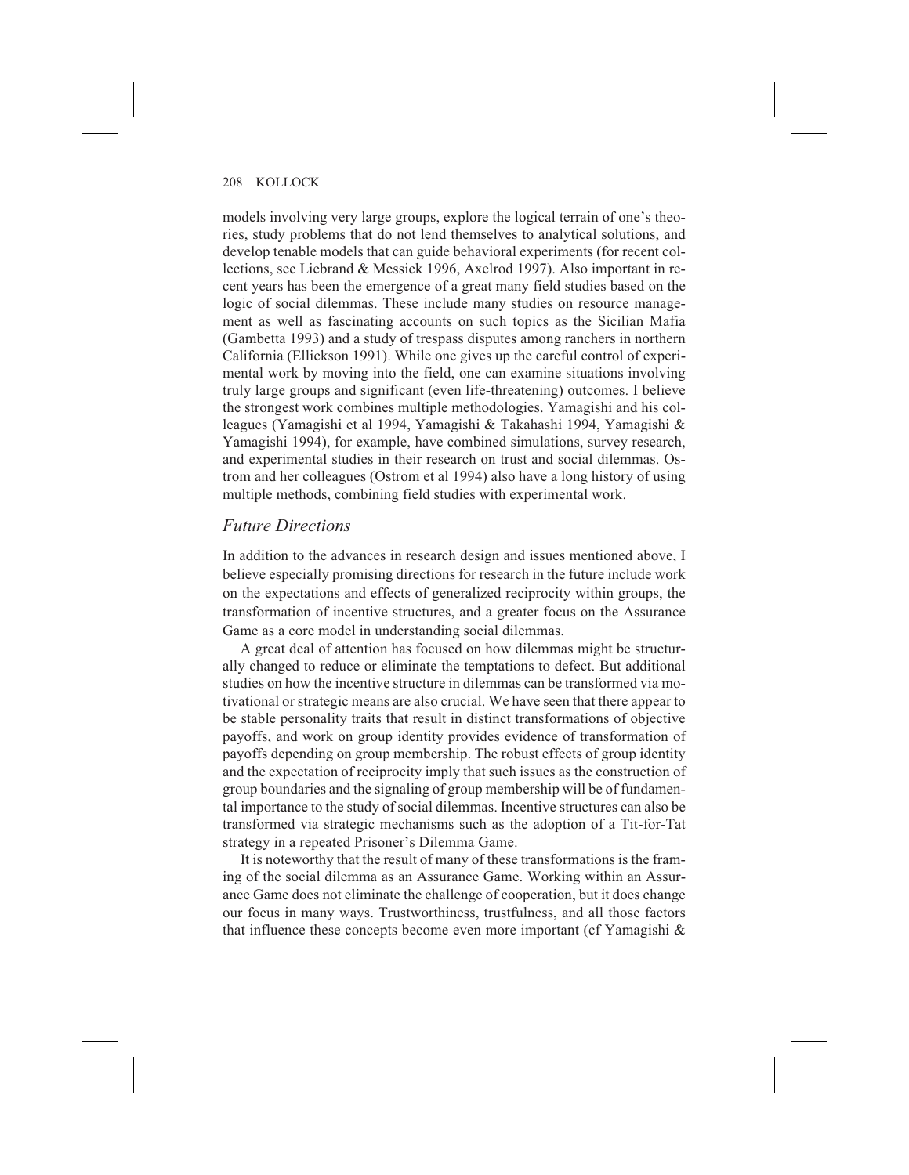models involving very large groups, explore the logical terrain of one's theories, study problems that do not lend themselves to analytical solutions, and develop tenable models that can guide behavioral experiments (for recent collections, see Liebrand & Messick 1996, Axelrod 1997). Also important in recent years has been the emergence of a great many field studies based on the logic of social dilemmas. These include many studies on resource management as well as fascinating accounts on such topics as the Sicilian Mafia (Gambetta 1993) and a study of trespass disputes among ranchers in northern California (Ellickson 1991). While one gives up the careful control of experimental work by moving into the field, one can examine situations involving truly large groups and significant (even life-threatening) outcomes. I believe the strongest work combines multiple methodologies. Yamagishi and his colleagues (Yamagishi et al 1994, Yamagishi & Takahashi 1994, Yamagishi & Yamagishi 1994), for example, have combined simulations, survey research, and experimental studies in their research on trust and social dilemmas. Ostrom and her colleagues (Ostrom et al 1994) also have a long history of using multiple methods, combining field studies with experimental work.

### *Future Directions*

In addition to the advances in research design and issues mentioned above, I believe especially promising directions for research in the future include work on the expectations and effects of generalized reciprocity within groups, the transformation of incentive structures, and a greater focus on the Assurance Game as a core model in understanding social dilemmas.

A great deal of attention has focused on how dilemmas might be structurally changed to reduce or eliminate the temptations to defect. But additional studies on how the incentive structure in dilemmas can be transformed via motivational or strategic means are also crucial. We have seen that there appear to be stable personality traits that result in distinct transformations of objective payoffs, and work on group identity provides evidence of transformation of payoffs depending on group membership. The robust effects of group identity and the expectation of reciprocity imply that such issues as the construction of group boundaries and the signaling of group membership will be of fundamental importance to the study of social dilemmas. Incentive structures can also be transformed via strategic mechanisms such as the adoption of a Tit-for-Tat strategy in a repeated Prisoner's Dilemma Game.

It is noteworthy that the result of many of these transformations is the framing of the social dilemma as an Assurance Game. Working within an Assurance Game does not eliminate the challenge of cooperation, but it does change our focus in many ways. Trustworthiness, trustfulness, and all those factors that influence these concepts become even more important (cf Yamagishi  $\&$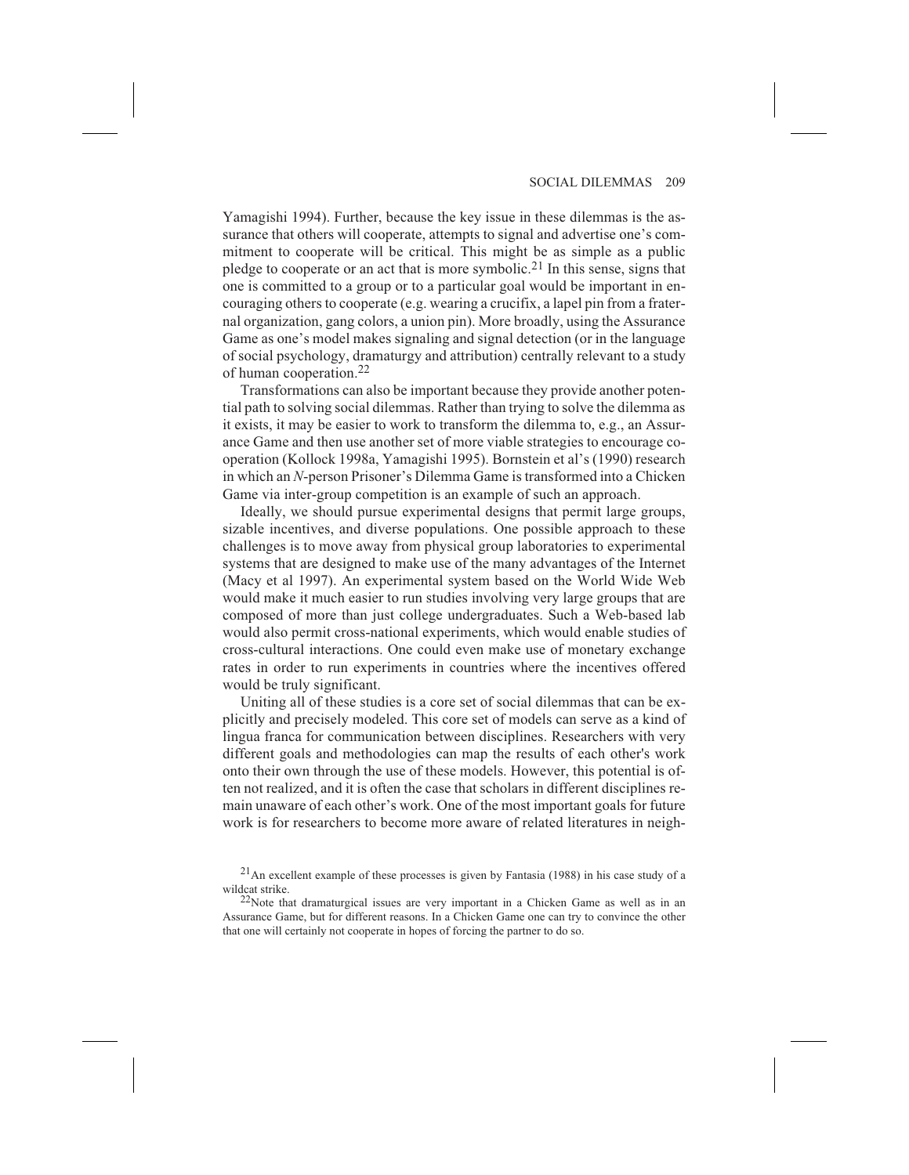Yamagishi 1994). Further, because the key issue in these dilemmas is the assurance that others will cooperate, attempts to signal and advertise one's commitment to cooperate will be critical. This might be as simple as a public pledge to cooperate or an act that is more symbolic.<sup>21</sup> In this sense, signs that one is committed to a group or to a particular goal would be important in encouraging others to cooperate (e.g. wearing a crucifix, a lapel pin from a fraternal organization, gang colors, a union pin). More broadly, using the Assurance Game as one's model makes signaling and signal detection (or in the language of social psychology, dramaturgy and attribution) centrally relevant to a study of human cooperation.<sup>22</sup>

Transformations can also be important because they provide another potential path to solving social dilemmas. Rather than trying to solve the dilemma as it exists, it may be easier to work to transform the dilemma to, e.g., an Assurance Game and then use another set of more viable strategies to encourage cooperation (Kollock 1998a, Yamagishi 1995). Bornstein et al's (1990) research in which an *N*-person Prisoner's Dilemma Game is transformed into a Chicken Game via inter-group competition is an example of such an approach.

Ideally, we should pursue experimental designs that permit large groups, sizable incentives, and diverse populations. One possible approach to these challenges is to move away from physical group laboratories to experimental systems that are designed to make use of the many advantages of the Internet (Macy et al 1997). An experimental system based on the World Wide Web would make it much easier to run studies involving very large groups that are composed of more than just college undergraduates. Such a Web-based lab would also permit cross-national experiments, which would enable studies of cross-cultural interactions. One could even make use of monetary exchange rates in order to run experiments in countries where the incentives offered would be truly significant.

Uniting all of these studies is a core set of social dilemmas that can be explicitly and precisely modeled. This core set of models can serve as a kind of lingua franca for communication between disciplines. Researchers with very different goals and methodologies can map the results of each other's work onto their own through the use of these models. However, this potential is often not realized, and it is often the case that scholars in different disciplines remain unaware of each other's work. One of the most important goals for future work is for researchers to become more aware of related literatures in neigh-

 $^{21}$ An excellent example of these processes is given by Fantasia (1988) in his case study of a wildcat strike.

 $22$ Note that dramaturgical issues are very important in a Chicken Game as well as in an Assurance Game, but for different reasons. In a Chicken Game one can try to convince the other that one will certainly not cooperate in hopes of forcing the partner to do so.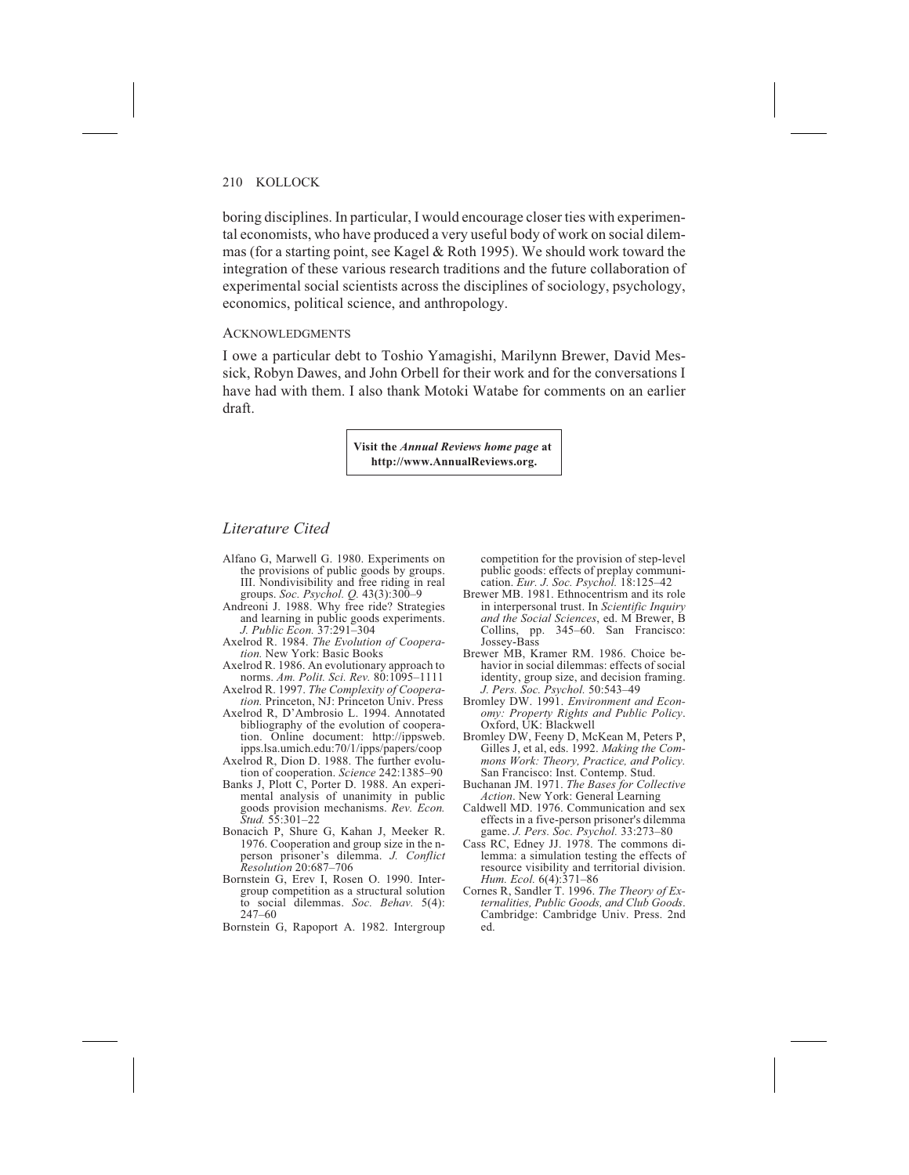boring disciplines. In particular, I would encourage closer ties with experimental economists, who have produced a very useful body of work on social dilemmas (for a starting point, see Kagel & Roth 1995). We should work toward the integration of these various research traditions and the future collaboration of experimental social scientists across the disciplines of sociology, psychology, economics, political science, and anthropology.

#### **ACKNOWLEDGMENTS**

I owe a particular debt to Toshio Yamagishi, Marilynn Brewer, David Messick, Robyn Dawes, and John Orbell for their work and for the conversations I have had with them. I also thank Motoki Watabe for comments on an earlier draft.

> **Visit the** *Annual Reviews home page* **at http://www.AnnualReviews.org.**

#### *Literature Cited*

- Alfano G, Marwell G. 1980. Experiments on the provisions of public goods by groups. III. Nondivisibility and free riding in real groups. *Soc. Psychol. Q.* 43(3):300–9
- Andreoni J. 1988. Why free ride? Strategies and learning in public goods experiments. *J. Public Econ.* 37:291–304
- Axelrod R. 1984. *The Evolution of Cooperation.* New York: Basic Books
- Axelrod R. 1986. An evolutionary approach to norms. *Am. Polit. Sci. Rev.* 80:1095–1111
- Axelrod R. 1997. *The Complexity of Cooperation.* Princeton, NJ: Princeton Univ. Press
- Axelrod R, D'Ambrosio L. 1994. Annotated bibliography of the evolution of cooperation. Online document: http://ippsweb. ipps.lsa.umich.edu:70/1/ipps/papers/coop
- Axelrod R, Dion D. 1988. The further evolution of cooperation. *Science* 242:1385–90
- Banks J, Plott C, Porter D. 1988. An experimental analysis of unanimity in public goods provision mechanisms. *Rev. Econ. Stud.* 55:301–22
- Bonacich P, Shure G, Kahan J, Meeker R. 1976. Cooperation and group size in the nperson prisoner's dilemma. *J. Conflict Resolution* 20:687–706
- Bornstein G, Erev I, Rosen O. 1990. Intergroup competition as a structural solution to social dilemmas. *Soc. Behav.* 5(4): 247–60
- Bornstein G, Rapoport A. 1982. Intergroup

competition for the provision of step-level public goods: effects of preplay communication. *Eur. J. Soc. Psychol.* 18:125–42

- Brewer MB. 1981. Ethnocentrism and its role in interpersonal trust. In *Scientific Inquiry and the Social Sciences*, ed. M Brewer, B Collins, pp. 345–60. San Francisco: Jossey-Bass
- Brewer MB, Kramer RM. 1986. Choice behavior in social dilemmas: effects of social identity, group size, and decision framing. *J. Pers. Soc. Psychol.* 50:543–49
- Bromley DW. 1991. *Environment and Economy: Property Rights and Public Policy*. Oxford, UK: Blackwell
- Bromley DW, Feeny D, McKean M, Peters P, Gilles J, et al, eds. 1992. *Making the Commons Work: Theory, Practice, and Policy.* San Francisco: Inst. Contemp. Stud.
- Buchanan JM. 1971. *The Bases for Collective Action*. New York: General Learning
- Caldwell MD. 1976. Communication and sex effects in a five-person prisoner's dilemma game. *J. Pers. Soc. Psychol.* 33:273–80
- Cass RC, Edney JJ. 1978. The commons dilemma: a simulation testing the effects of resource visibility and territorial division. *Hum. Ecol.* 6(4):371–86
- Cornes R, Sandler T. 1996. *The Theory of Externalities, Public Goods, and Club Goods*. Cambridge: Cambridge Univ. Press. 2nd ed.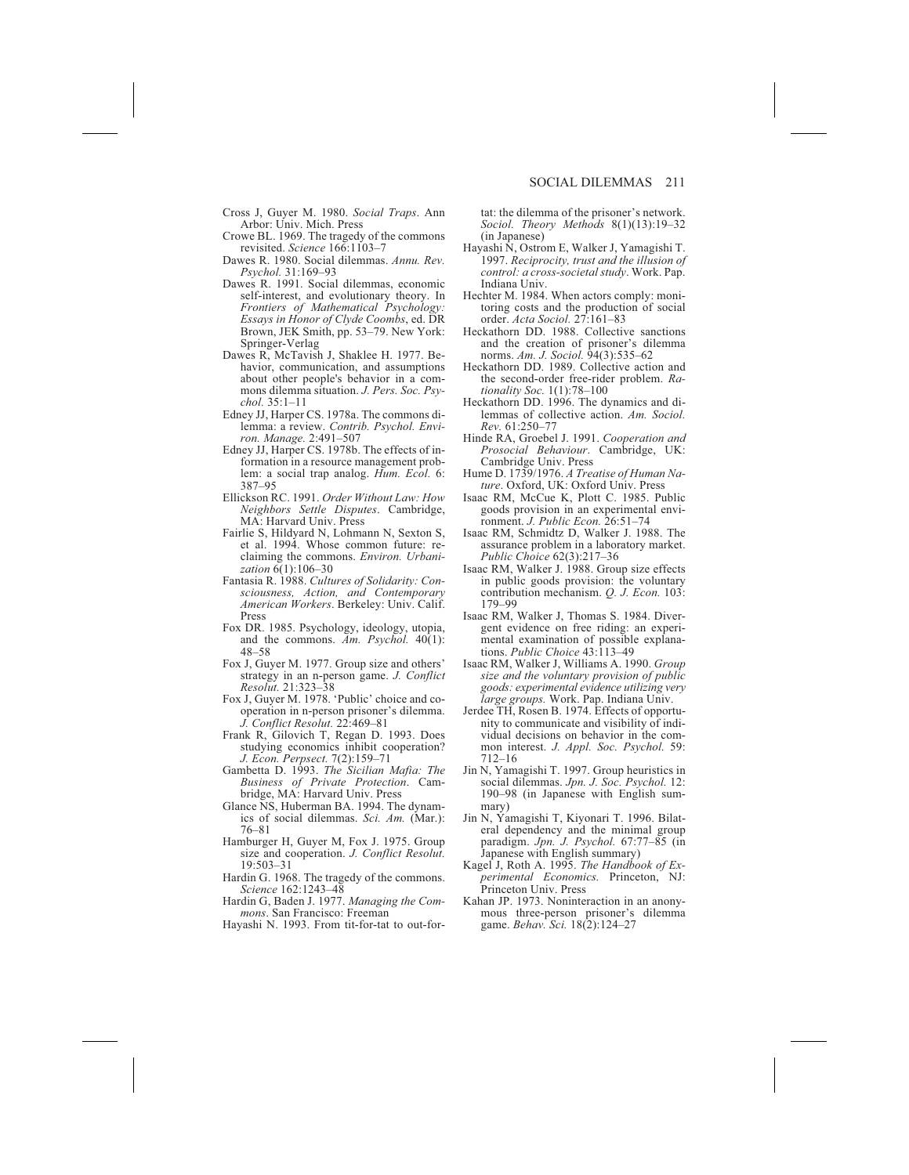- Cross J, Guyer M. 1980. *Social Traps*. Ann Arbor: Univ. Mich. Press
- Crowe BL. 1969. The tragedy of the commons revisited. *Science* 166:1103–7
- Dawes R. 1980. Social dilemmas. *Annu. Rev. Psychol.* 31:169–93
- Dawes R. 1991. Social dilemmas, economic self-interest, and evolutionary theory. In *Frontiers of Mathematical Psychology: Essays in Honor of Clyde Coombs*, ed. DR Brown, JEK Smith, pp. 53–79. New York: Springer-Verlag
- Dawes R, McTavish J, Shaklee H. 1977. Behavior, communication, and assumptions about other people's behavior in a commons dilemma situation. *J. Pers. Soc. Psychol.* 35:1–11
- Edney JJ, Harper CS. 1978a. The commons dilemma: a review. *Contrib. Psychol. Environ. Manage.* 2:491–507
- Edney JJ, Harper CS. 1978b. The effects of information in a resource management problem: a social trap analog. *Hum. Ecol.* 6: 387–95
- Ellickson RC. 1991. *Order Without Law: How Neighbors Settle Disputes*. Cambridge, MA: Harvard Univ. Press
- Fairlie S, Hildyard N, Lohmann N, Sexton S, et al. 1994. Whose common future: reclaiming the commons. *Environ. Urbanization* 6(1):106–30
- Fantasia R. 1988. *Cultures of Solidarity: Consciousness, Action, and Contemporary American Workers*. Berkeley: Univ. Calif. Press
- Fox DR. 1985. Psychology, ideology, utopia, and the commons. *Am. Psychol.* 40(1): 48–58
- Fox J, Guyer M. 1977. Group size and others' strategy in an n-person game. *J. Conflict Resolut.* 21:323–38
- Fox J, Guyer M. 1978. 'Public' choice and cooperation in n-person prisoner's dilemma. *J. Conflict Resolut.* 22:469–81
- Frank R, Gilovich T, Regan D. 1993. Does studying economics inhibit cooperation? *J. Econ. Perpsect.* 7(2):159–71
- Gambetta D. 1993. *The Sicilian Mafia: The Business of Private Protection*. Cambridge, MA: Harvard Univ. Press
- Glance NS, Huberman BA. 1994. The dynamics of social dilemmas. *Sci. Am.* (Mar.): 76–81
- Hamburger H, Guyer M, Fox J. 1975. Group size and cooperation. *J. Conflict Resolut.* 19:503–31
- Hardin G. 1968. The tragedy of the commons. *Science* 162:1243–48
- Hardin G, Baden J. 1977. *Managing the Commons*. San Francisco: Freeman
- Hayashi N. 1993. From tit-for-tat to out-for-

tat: the dilemma of the prisoner's network. *Sociol. Theory Methods* 8(1)(13):19–32 (in Japanese)

- Hayashi N, Ostrom E, Walker J, Yamagishi T. 1997. *Reciprocity, trust and the illusion of control: a cross-societal study*. Work. Pap. Indiana Univ.
- Hechter M. 1984. When actors comply: monitoring costs and the production of social order. *Acta Sociol.* 27:161–83
- Heckathorn DD. 1988. Collective sanctions and the creation of prisoner's dilemma norms. *Am. J. Sociol.* 94(3):535–62
- Heckathorn DD. 1989. Collective action and the second-order free-rider problem. *Rationality Soc.* 1(1):78–100
- Heckathorn DD. 1996. The dynamics and dilemmas of collective action. *Am. Sociol. Rev.* 61:250–77
- Hinde RA, Groebel J. 1991. *Cooperation and Prosocial Behaviour*. Cambridge, UK: Cambridge Univ. Press
- Hume D. 1739/1976. *A Treatise of Human Nature*. Oxford, UK: Oxford Univ. Press
- Isaac RM, McCue K, Plott C. 1985. Public goods provision in an experimental environment. *J. Public Econ.* 26:51–74
- Isaac RM, Schmidtz D, Walker J. 1988. The assurance problem in a laboratory market. *Public Choice* 62(3):217–36
- Isaac RM, Walker J. 1988. Group size effects in public goods provision: the voluntary contribution mechanism. *Q. J. Econ.* 103: 179–99
- Isaac RM, Walker J, Thomas S. 1984. Divergent evidence on free riding: an experimental examination of possible explanations. *Public Choice* 43:113–49
- Isaac RM, Walker J, Williams A. 1990. *Group size and the voluntary provision of public goods: experimental evidence utilizing very large groups.* Work. Pap. Indiana Univ.
- Jerdee TH, Rosen B. 1974. Effects of opportunity to communicate and visibility of individual decisions on behavior in the common interest. *J. Appl. Soc. Psychol.* 59: 712–16
- Jin N, Yamagishi T. 1997. Group heuristics in social dilemmas. *Jpn. J. Soc. Psychol.* 12: 190–98 (in Japanese with English summary)
- Jin N, Yamagishi T, Kiyonari T. 1996. Bilateral dependency and the minimal group paradigm. *Jpn. J. Psychol.* 67:77–85 (in Japanese with English summary)
- Kagel J, Roth A. 1995. *The Handbook of Experimental Economics.* Princeton, NJ: Princeton Univ. Press
- Kahan JP. 1973. Noninteraction in an anonymous three-person prisoner's dilemma game. *Behav. Sci.* 18(2):124–27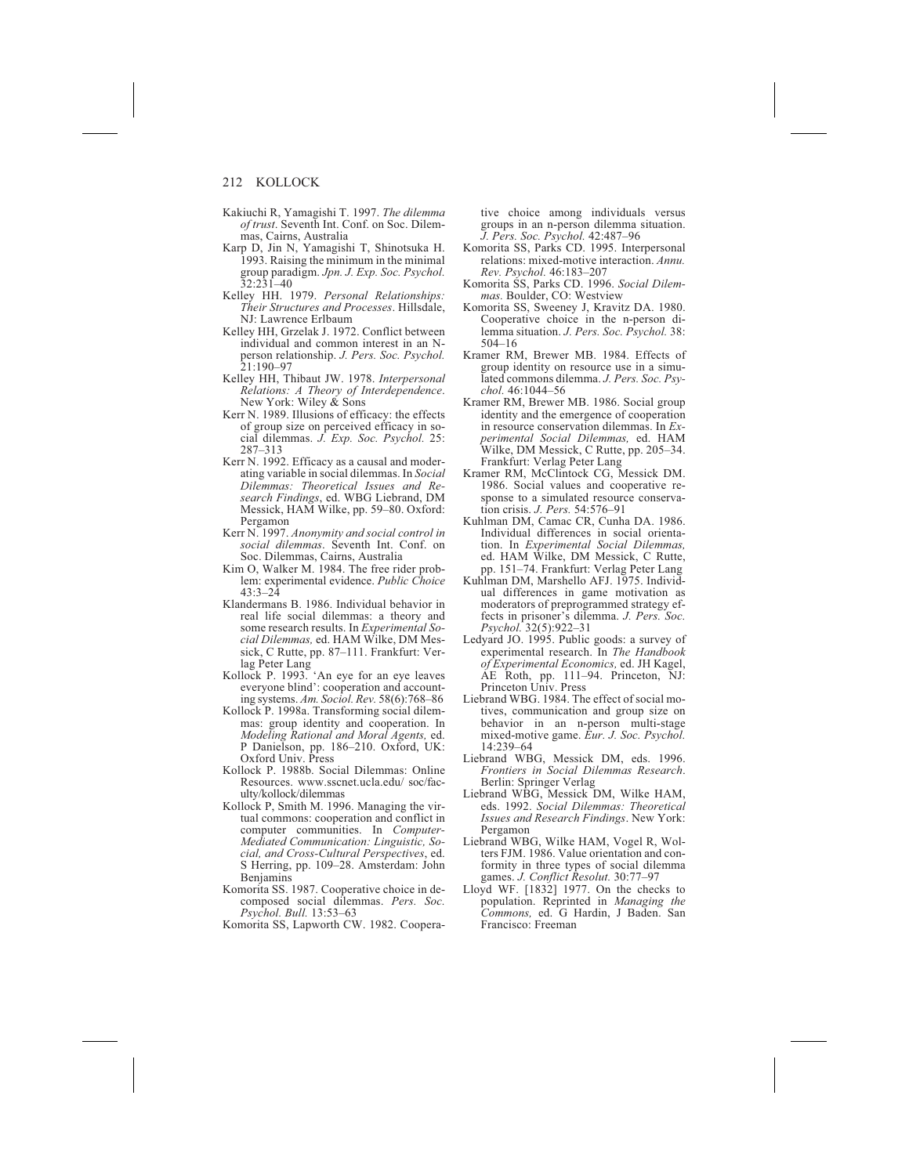- Kakiuchi R, Yamagishi T. 1997. *The dilemma of trust*. Seventh Int. Conf. on Soc. Dilemmas, Cairns, Australia
- Karp D, Jin N, Yamagishi T, Shinotsuka H. 1993. Raising the minimum in the minimal group paradigm. *Jpn. J. Exp. Soc. Psychol.* 32:231–40
- Kelley HH. 1979. *Personal Relationships: Their Structures and Processes*. Hillsdale, NJ: Lawrence Erlbaum
- Kelley HH, Grzelak J. 1972. Conflict between individual and common interest in an Nperson relationship. *J. Pers. Soc. Psychol.* 21:190–97
- Kelley HH, Thibaut JW. 1978. *Interpersonal Relations: A Theory of Interdependence*. New York: Wiley & Sons
- Kerr N. 1989. Illusions of efficacy: the effects of group size on perceived efficacy in social dilemmas. *J. Exp. Soc. Psychol.* 25: 287–313
- Kerr N. 1992. Efficacy as a causal and moderating variable in social dilemmas. In *Social Dilemmas: Theoretical Issues and Research Findings*, ed. WBG Liebrand, DM Messick, HAM Wilke, pp. 59–80. Oxford: Pergamon
- Kerr N. 1997. *Anonymity and social control in social dilemmas*. Seventh Int. Conf. on Soc. Dilemmas, Cairns, Australia
- Kim O, Walker M. 1984. The free rider problem: experimental evidence. *Public Choice* 43:3–24
- Klandermans B. 1986. Individual behavior in real life social dilemmas: a theory and some research results. In *Experimental Social Dilemmas,* ed. HAM Wilke, DM Messick, C Rutte, pp. 87–111. Frankfurt: Verlag Peter Lang
- Kollock P. 1993. 'An eye for an eye leaves everyone blind': cooperation and accounting systems. *Am. Sociol. Rev.* 58(6):768–86
- Kollock P. 1998a. Transforming social dilemmas: group identity and cooperation. In *Modeling Rational and Moral Agents,* ed. P Danielson, pp. 186–210. Oxford, UK: Oxford Univ. Press
- Kollock P. 1988b. Social Dilemmas: Online Resources. www.sscnet.ucla.edu/ soc/faculty/kollock/dilemmas
- Kollock P, Smith M. 1996. Managing the virtual commons: cooperation and conflict in computer communities. In *Computer-Mediated Communication: Linguistic, Social, and Cross-Cultural Perspectives*, ed. S Herring, pp. 109–28. Amsterdam: John Benjamins
- Komorita SS. 1987. Cooperative choice in decomposed social dilemmas. *Pers. Soc. Psychol. Bull.* 13:53–63

Komorita SS, Lapworth CW. 1982. Coopera-

tive choice among individuals versus groups in an n-person dilemma situation. *J. Pers. Soc. Psychol.* 42:487–96

- Komorita SS, Parks CD. 1995. Interpersonal relations: mixed-motive interaction. *Annu. Rev. Psychol.* 46:183–207
- Komorita SS, Parks CD. 1996. *Social Dilemmas.* Boulder, CO: Westview
- Komorita SS, Sweeney J, Kravitz DA. 1980. Cooperative choice in the n-person dilemma situation. *J. Pers. Soc. Psychol.* 38: 504–16
- Kramer RM, Brewer MB. 1984. Effects of group identity on resource use in a simulated commons dilemma. *J. Pers. Soc. Psychol.* 46:1044–56
- Kramer RM, Brewer MB. 1986. Social group identity and the emergence of cooperation in resource conservation dilemmas. In *Experimental Social Dilemmas,* ed. HAM Wilke, DM Messick, C Rutte, pp. 205–34. Frankfurt: Verlag Peter Lang
- Kramer RM, McClintock CG, Messick DM. 1986. Social values and cooperative response to a simulated resource conservation crisis. *J. Pers.* 54:576–91
- Kuhlman DM, Camac CR, Cunha DA. 1986. Individual differences in social orienta-tion. In *Experimental Social Dilemmas,* ed. HAM Wilke, DM Messick, C Rutte, pp. 151–74. Frankfurt: Verlag Peter Lang
- Kuhlman DM, Marshello AFJ. 1975. Individual differences in game motivation as moderators of preprogrammed strategy effects in prisoner's dilemma. *J. Pers. Soc. Psychol.* 32(5):922–31
- Ledyard JO. 1995. Public goods: a survey of experimental research. In *The Handbook of Experimental Economics,* ed. JH Kagel, AE Roth, pp. 111–94. Princeton, NJ: Princeton Univ. Press
- Liebrand WBG. 1984. The effect of social motives, communication and group size on behavior in an n-person multi-stage mixed-motive game. *Eur. J. Soc. Psychol.* 14:239–64
- Liebrand WBG, Messick DM, eds. 1996. *Frontiers in Social Dilemmas Research*. Berlin: Springer Verlag
- Liebrand WBG, Messick DM, Wilke HAM, eds. 1992. *Social Dilemmas: Theoretical Issues and Research Findings*. New York: Pergamon
- Liebrand WBG, Wilke HAM, Vogel R, Wolters FJM. 1986. Value orientation and conformity in three types of social dilemma games. *J. Conflict Resolut.* 30:77–97
- Lloyd WF. [1832] 1977. On the checks to population. Reprinted in *Managing the Commons,* ed. G Hardin, J Baden. San Francisco: Freeman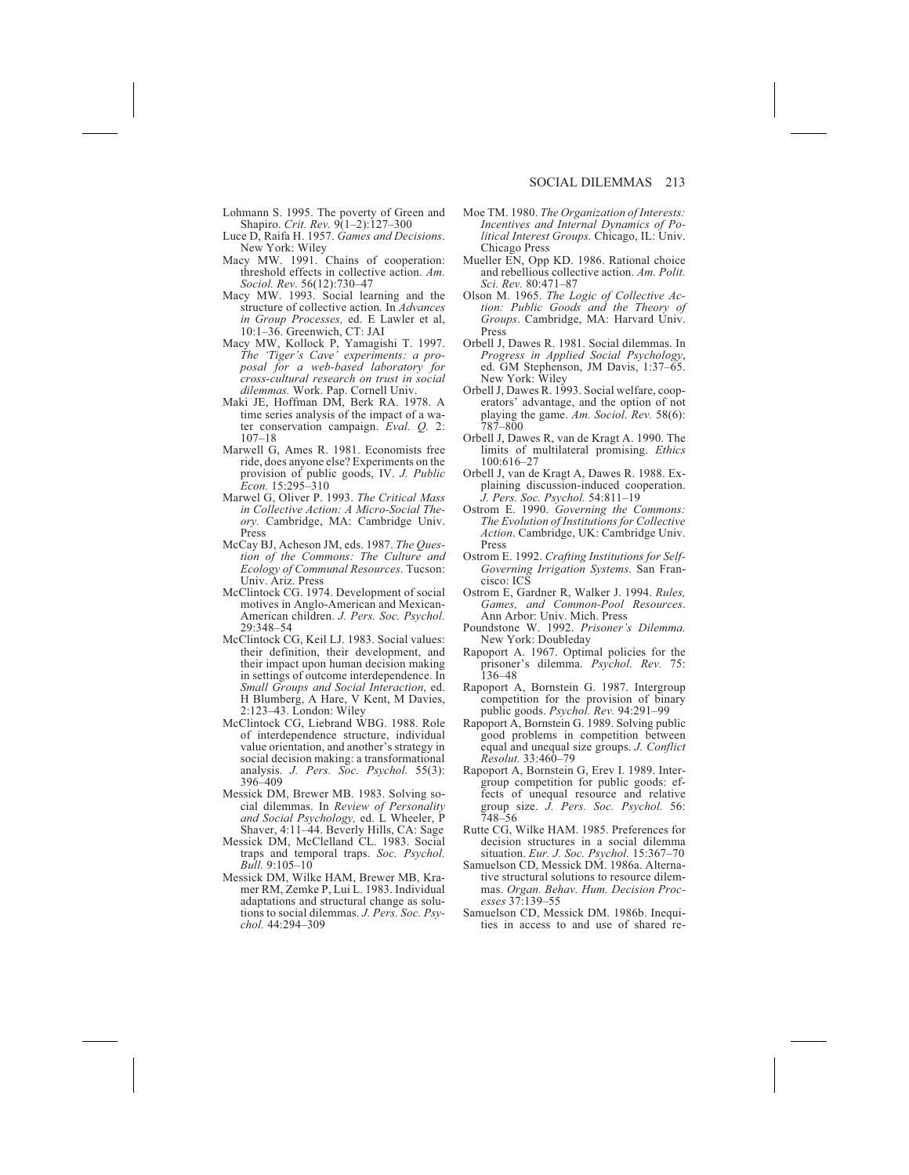- Lohmann S. 1995. The poverty of Green and Shapiro. *Crit. Rev.* 9(1–2):127–300
- Luce D, Raifa H. 1957. *Games and Decisions*. New York: Wiley
- Macy MW. 1991. Chains of cooperation: threshold effects in collective action. *Am. Sociol. Rev.* 56(12):730–47
- Macy MW. 1993. Social learning and the structure of collective action. In *Advances in Group Processes,* ed. E Lawler et al, 10:1–36. Greenwich, CT: JAI
- Macy MW, Kollock P, Yamagishi T. 1997. *The 'Tiger's Cave' experiments: a proposal for a web-based laboratory for cross-cultural research on trust in social dilemmas.* Work. Pap. Cornell Univ.
- Maki JE, Hoffman DM, Berk RA. 1978. A time series analysis of the impact of a water conservation campaign. *Eval. Q.* 2: 107–18
- Marwell G, Ames R. 1981. Economists free ride, does anyone else? Experiments on the provision of public goods, IV. *J. Public Econ.* 15:295–310
- Marwel G, Oliver P. 1993. *The Critical Mass in Collective Action: A Micro-Social Theory.* Cambridge, MA: Cambridge Univ. Press
- McCay BJ, Acheson JM, eds. 1987. *The Question of the Commons: The Culture and Ecology of Communal Resources*. Tucson: Univ. Ariz. Press
- McClintock CG. 1974. Development of social motives in Anglo-American and Mexican-American children. *J. Pers. Soc. Psychol.* 29:348–54
- McClintock CG, Keil LJ. 1983. Social values: their definition, their development, and their impact upon human decision making in settings of outcome interdependence. In *Small Groups and Social Interaction*, ed. H Blumberg, A Hare, V Kent, M Davies, 2:123–43. London: Wiley
- McClintock CG, Liebrand WBG. 1988. Role of interdependence structure, individual value orientation, and another's strategy in social decision making: a transformational analysis. *J. Pers. Soc. Psychol.* 55(3): 396–409
- Messick DM, Brewer MB. 1983. Solving social dilemmas. In *Review of Personality and Social Psychology,* ed. L Wheeler, P Shaver, 4:11–44. Beverly Hills, CA: Sage
- Messick DM, McClelland CL. 1983. Social traps and temporal traps. *Soc. Psychol. Bull.* 9:105–10
- Messick DM, Wilke HAM, Brewer MB, Kramer RM, Zemke P, Lui L. 1983. Individual adaptations and structural change as solutions to social dilemmas. *J. Pers. Soc. Psychol.* 44:294–309
- Moe TM. 1980. *The Organization of Interests: Incentives and Internal Dynamics of Political Interest Groups.* Chicago, IL: Univ. Chicago Press
- Mueller EN, Opp KD. 1986. Rational choice and rebellious collective action. *Am. Polit. Sci. Rev.* 80:471–87
- Olson M. 1965. *The Logic of Collective Action: Public Goods and the Theory of Groups*. Cambridge, MA: Harvard Univ. Press
- Orbell J, Dawes R. 1981. Social dilemmas. In *Progress in Applied Social Psychology*, ed. GM Stephenson, JM Davis, 1:37–65. New York: Wiley
- Orbell J, Dawes R. 1993. Social welfare, cooperators' advantage, and the option of not playing the game. *Am. Sociol. Rev.* 58(6): 787–800
- Orbell J, Dawes R, van de Kragt A. 1990. The limits of multilateral promising. *Ethics* 100:616–27
- Orbell J, van de Kragt A, Dawes R. 1988. Explaining discussion-induced cooperation. *J. Pers. Soc. Psychol.* 54:811–19
- Ostrom E. 1990. *Governing the Commons: The Evolution of Institutions for Collective Action*. Cambridge, UK: Cambridge Univ. Press
- Ostrom E. 1992. *Crafting Institutions for Self-Governing Irrigation Systems*. San Francisco: ICS
- Ostrom E, Gardner R, Walker J. 1994. *Rules, Games, and Common-Pool Resources*. Ann Arbor: Univ. Mich. Press
- Poundstone W. 1992. *Prisoner's Dilemma.* New York: Doubleday
- Rapoport A. 1967. Optimal policies for the prisoner's dilemma. *Psychol. Rev.* 75: 136–48
- Rapoport A, Bornstein G. 1987. Intergroup competition for the provision of binary public goods. *Psychol. Rev.* 94:291–99
- Rapoport A, Bornstein G. 1989. Solving public good problems in competition between equal and unequal size groups. *J. Conflict Resolut.* 33:460–79
- Rapoport A, Bornstein G, Erev I. 1989. Intergroup competition for public goods: effects of unequal resource and relative group size. *J. Pers. Soc. Psychol.* 56: 748–56
- Rutte CG, Wilke HAM. 1985. Preferences for decision structures in a social dilemma situation. *Eur. J. Soc. Psychol.* 15:367–70
- Samuelson CD, Messick DM. 1986a. Alternative structural solutions to resource dilemmas. *Organ. Behav. Hum. Decision Processes* 37:139–55
- Samuelson CD, Messick DM. 1986b. Inequities in access to and use of shared re-